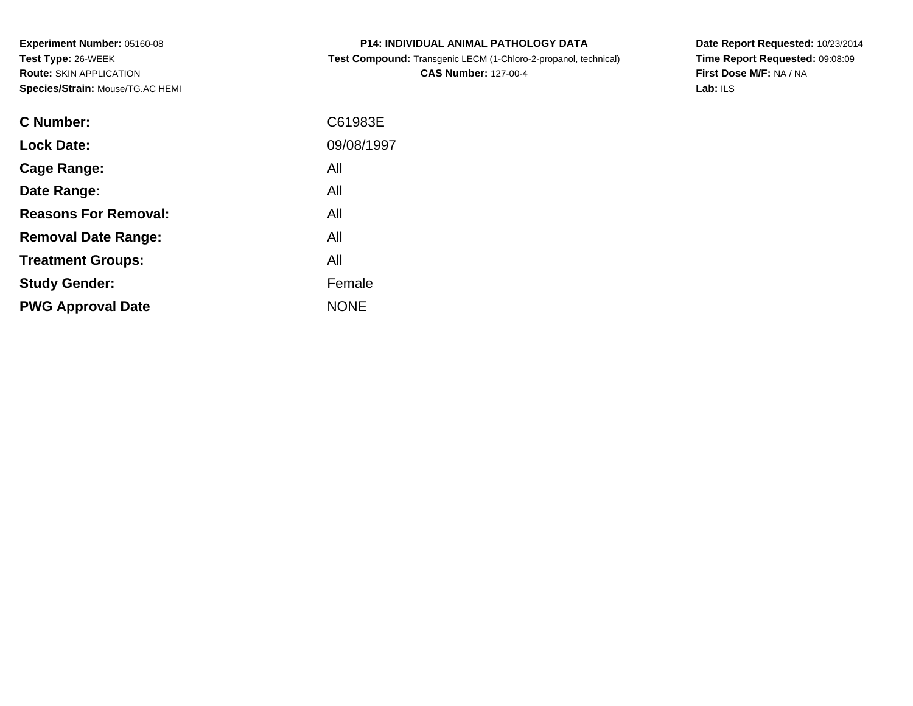**Experiment Number:** 05160-08**Test Type:** 26-WEEK **Route:** SKIN APPLICATION**Species/Strain:** Mouse/TG.AC HEMI

| <b>P14: INDIVIDUAL ANIMAL PATHOLOGY DATA</b>                           |
|------------------------------------------------------------------------|
| <b>Test Compound:</b> Transgenic LECM (1-Chloro-2-propanol, technical) |

**CAS Number:** 127-00-4

**Date Report Requested:** 10/23/2014 **Time Report Requested:** 09:08:09**First Dose M/F:** NA / NA**Lab:** ILS

| <b>C</b> Number:            | C61983E     |
|-----------------------------|-------------|
| <b>Lock Date:</b>           | 09/08/1997  |
| Cage Range:                 | All         |
| Date Range:                 | All         |
| <b>Reasons For Removal:</b> | All         |
| <b>Removal Date Range:</b>  | All         |
| <b>Treatment Groups:</b>    | All         |
| <b>Study Gender:</b>        | Female      |
| <b>PWG Approval Date</b>    | <b>NONE</b> |
|                             |             |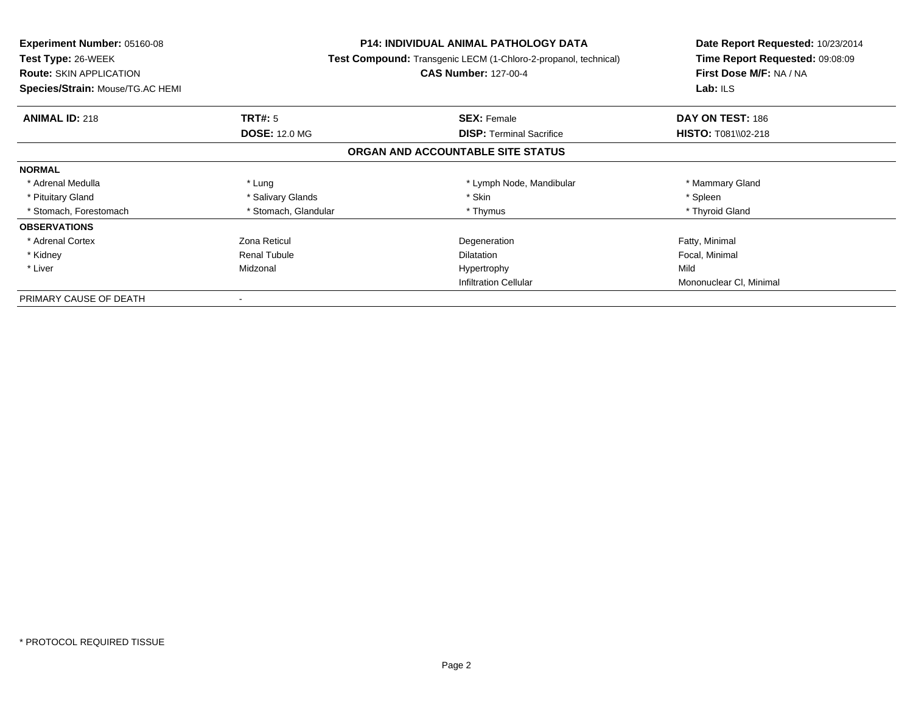| Experiment Number: 05160-08      | <b>P14: INDIVIDUAL ANIMAL PATHOLOGY DATA</b><br>Test Compound: Transgenic LECM (1-Chloro-2-propanol, technical) |                                   | Date Report Requested: 10/23/2014 |
|----------------------------------|-----------------------------------------------------------------------------------------------------------------|-----------------------------------|-----------------------------------|
| <b>Test Type: 26-WEEK</b>        |                                                                                                                 |                                   | Time Report Requested: 09:08:09   |
| <b>Route: SKIN APPLICATION</b>   |                                                                                                                 | <b>CAS Number: 127-00-4</b>       | First Dose M/F: NA / NA           |
| Species/Strain: Mouse/TG.AC HEMI |                                                                                                                 |                                   | Lab: ILS                          |
| <b>ANIMAL ID: 218</b>            | TRT#: 5                                                                                                         | <b>SEX: Female</b>                | DAY ON TEST: 186                  |
|                                  | <b>DOSE: 12.0 MG</b>                                                                                            | <b>DISP:</b> Terminal Sacrifice   | <b>HISTO: T081\\02-218</b>        |
|                                  |                                                                                                                 | ORGAN AND ACCOUNTABLE SITE STATUS |                                   |
| <b>NORMAL</b>                    |                                                                                                                 |                                   |                                   |
| * Adrenal Medulla                | * Lung                                                                                                          | * Lymph Node, Mandibular          | * Mammary Gland                   |
| * Pituitary Gland                | * Salivary Glands                                                                                               | * Skin                            | * Spleen                          |
| * Stomach, Forestomach           | * Stomach, Glandular                                                                                            | * Thymus                          | * Thyroid Gland                   |
| <b>OBSERVATIONS</b>              |                                                                                                                 |                                   |                                   |
| * Adrenal Cortex                 | Zona Reticul                                                                                                    | Degeneration                      | Fatty, Minimal                    |
| * Kidney                         | <b>Renal Tubule</b>                                                                                             | Dilatation                        | Focal, Minimal                    |
| * Liver                          | Midzonal                                                                                                        | Hypertrophy                       | Mild                              |
|                                  |                                                                                                                 | <b>Infiltration Cellular</b>      | Mononuclear CI, Minimal           |
| PRIMARY CAUSE OF DEATH           |                                                                                                                 |                                   |                                   |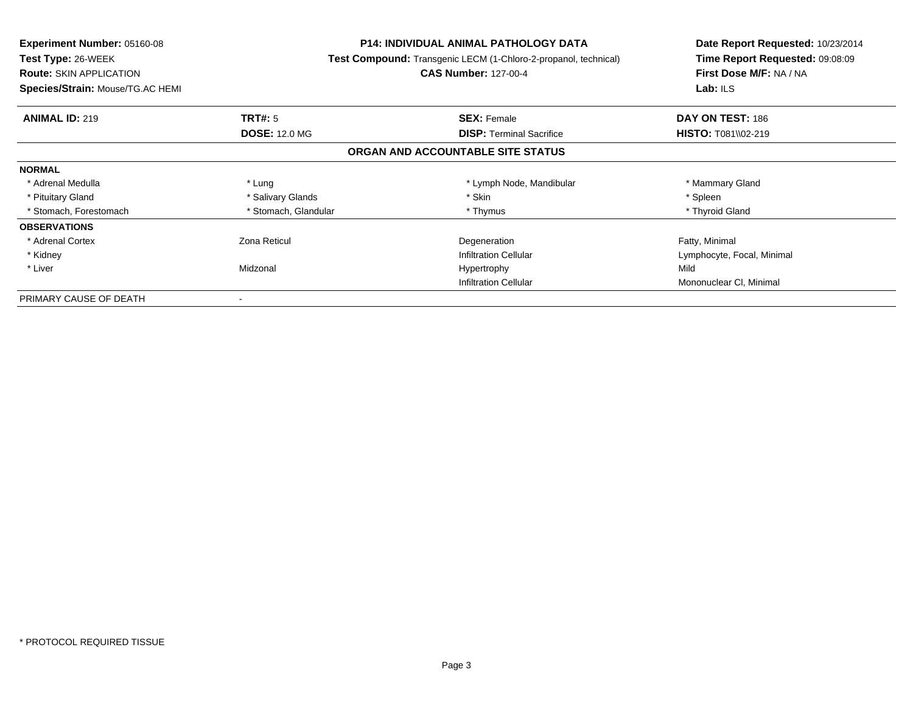| <b>Experiment Number: 05160-08</b> | <b>P14: INDIVIDUAL ANIMAL PATHOLOGY DATA</b><br><b>Test Compound:</b> Transgenic LECM (1-Chloro-2-propanol, technical) |                                   | Date Report Requested: 10/23/2014 |
|------------------------------------|------------------------------------------------------------------------------------------------------------------------|-----------------------------------|-----------------------------------|
| Test Type: 26-WEEK                 |                                                                                                                        |                                   | Time Report Requested: 09:08:09   |
| <b>Route: SKIN APPLICATION</b>     |                                                                                                                        | <b>CAS Number: 127-00-4</b>       | First Dose M/F: NA / NA           |
| Species/Strain: Mouse/TG.AC HEMI   |                                                                                                                        |                                   | Lab: ILS                          |
| <b>ANIMAL ID: 219</b>              | <b>TRT#:</b> 5                                                                                                         | <b>SEX: Female</b>                | DAY ON TEST: 186                  |
|                                    | <b>DOSE: 12.0 MG</b>                                                                                                   | <b>DISP:</b> Terminal Sacrifice   | HISTO: T081\\02-219               |
|                                    |                                                                                                                        | ORGAN AND ACCOUNTABLE SITE STATUS |                                   |
| <b>NORMAL</b>                      |                                                                                                                        |                                   |                                   |
| * Adrenal Medulla                  | * Lung                                                                                                                 | * Lymph Node, Mandibular          | * Mammary Gland                   |
| * Pituitary Gland                  | * Salivary Glands                                                                                                      | * Skin                            | * Spleen                          |
| * Stomach, Forestomach             | * Stomach, Glandular                                                                                                   | * Thymus                          | * Thyroid Gland                   |
| <b>OBSERVATIONS</b>                |                                                                                                                        |                                   |                                   |
| * Adrenal Cortex                   | Zona Reticul                                                                                                           | Degeneration                      | Fatty, Minimal                    |
| * Kidney                           |                                                                                                                        | <b>Infiltration Cellular</b>      | Lymphocyte, Focal, Minimal        |
| * Liver                            | Midzonal                                                                                                               | Hypertrophy                       | Mild                              |
|                                    |                                                                                                                        | <b>Infiltration Cellular</b>      | Mononuclear CI, Minimal           |
| PRIMARY CAUSE OF DEATH             |                                                                                                                        |                                   |                                   |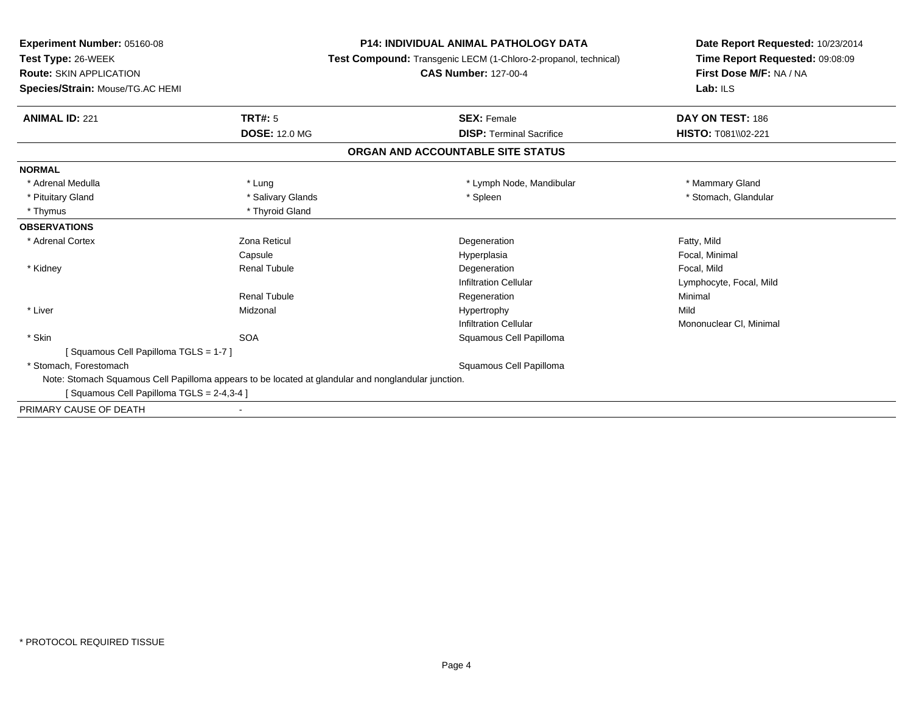**Experiment Number:** 05160-08**Test Type:** 26-WEEK **Route:** SKIN APPLICATION **Species/Strain:** Mouse/TG.AC HEMI**P14: INDIVIDUAL ANIMAL PATHOLOGY DATA Test Compound:** Transgenic LECM (1-Chloro-2-propanol, technical)**CAS Number:** 127-00-4**Date Report Requested:** 10/23/2014**Time Report Requested:** 09:08:09**First Dose M/F:** NA / NA**Lab:** ILS**ANIMAL ID:** 221**TRT#:** 5 **SEX:** Female **SEX: Female DAY ON TEST:** 186 **DOSE:** 12.0 MG **DISP:** Terminal Sacrifice **HISTO:** T081\\02-221 **ORGAN AND ACCOUNTABLE SITE STATUSNORMAL**\* Adrenal Medulla \* Lung \* Lymph Node, Mandibular \* The management of the Manmary Gland \* Pituitary Gland \* \* Salivary Glands \* Salivary Glands \* Spleen \* Stomach, Glandular \* Stomach, Glandular \* Stomach, Glandular \* Thymus \* Thyroid Gland**OBSERVATIONS** \* Adrenal Cortexx **Executive State 2** Zona Reticul **Constants Constants Constants Constants Constants Degeneration**  Fatty, Mild Capsule Hyperplasia Focal, Minimal \* Kidney Renal Tubulee and the second of the Degeneration of the second of the Focal, Mild Infiltration Cellular Lymphocyte, Focal, MildRenal Tubulee which is the experimentation of the experimental experimental experimental experimental experimental experimental experimental experimental experimental experimental experimental experimental experimental experimental ex \* LiverMidzonal Hypertrophy y Mild r **Mononuclear Cl**, Minimal Infiltration Cellular \* Skinn SOA SOA Squamous Cell Papilloma [ Squamous Cell Papilloma TGLS = 1-7 ] \* Stomach, Forestomach Squamous Cell Papilloma Note: Stomach Squamous Cell Papilloma appears to be located at glandular and nonglandular junction.[ Squamous Cell Papilloma TGLS = 2-4,3-4 ]PRIMARY CAUSE OF DEATH-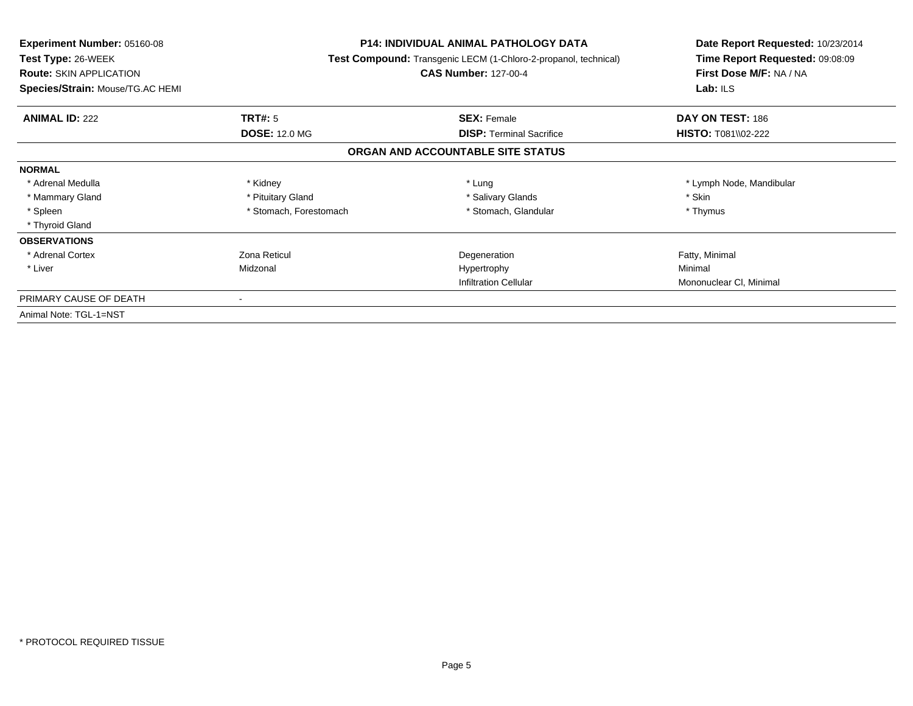| Experiment Number: 05160-08<br>Test Type: 26-WEEK<br><b>Route: SKIN APPLICATION</b><br>Species/Strain: Mouse/TG.AC HEMI | <b>P14: INDIVIDUAL ANIMAL PATHOLOGY DATA</b><br>Test Compound: Transgenic LECM (1-Chloro-2-propanol, technical)<br><b>CAS Number: 127-00-4</b> |                                   | Date Report Requested: 10/23/2014<br>Time Report Requested: 09:08:09<br>First Dose M/F: NA / NA<br>Lab: $ILS$ |
|-------------------------------------------------------------------------------------------------------------------------|------------------------------------------------------------------------------------------------------------------------------------------------|-----------------------------------|---------------------------------------------------------------------------------------------------------------|
| <b>ANIMAL ID: 222</b>                                                                                                   | <b>TRT#: 5</b>                                                                                                                                 | <b>SEX: Female</b>                | DAY ON TEST: 186                                                                                              |
|                                                                                                                         | <b>DOSE: 12.0 MG</b>                                                                                                                           | <b>DISP:</b> Terminal Sacrifice   | <b>HISTO: T081\\02-222</b>                                                                                    |
|                                                                                                                         |                                                                                                                                                | ORGAN AND ACCOUNTABLE SITE STATUS |                                                                                                               |
| <b>NORMAL</b>                                                                                                           |                                                                                                                                                |                                   |                                                                                                               |
| * Adrenal Medulla                                                                                                       | * Kidney                                                                                                                                       | * Lung                            | * Lymph Node, Mandibular                                                                                      |
| * Mammary Gland                                                                                                         | * Pituitary Gland                                                                                                                              | * Salivary Glands                 | * Skin                                                                                                        |
| * Spleen                                                                                                                | * Stomach, Forestomach                                                                                                                         | * Stomach, Glandular              | * Thymus                                                                                                      |
| * Thyroid Gland                                                                                                         |                                                                                                                                                |                                   |                                                                                                               |
| <b>OBSERVATIONS</b>                                                                                                     |                                                                                                                                                |                                   |                                                                                                               |
| * Adrenal Cortex                                                                                                        | Zona Reticul                                                                                                                                   | Degeneration                      | Fatty, Minimal                                                                                                |
| * Liver                                                                                                                 | Midzonal                                                                                                                                       | Hypertrophy                       | Minimal                                                                                                       |
|                                                                                                                         |                                                                                                                                                | <b>Infiltration Cellular</b>      | Mononuclear CI, Minimal                                                                                       |
| PRIMARY CAUSE OF DEATH                                                                                                  |                                                                                                                                                |                                   |                                                                                                               |
| Animal Note: TGL-1=NST                                                                                                  |                                                                                                                                                |                                   |                                                                                                               |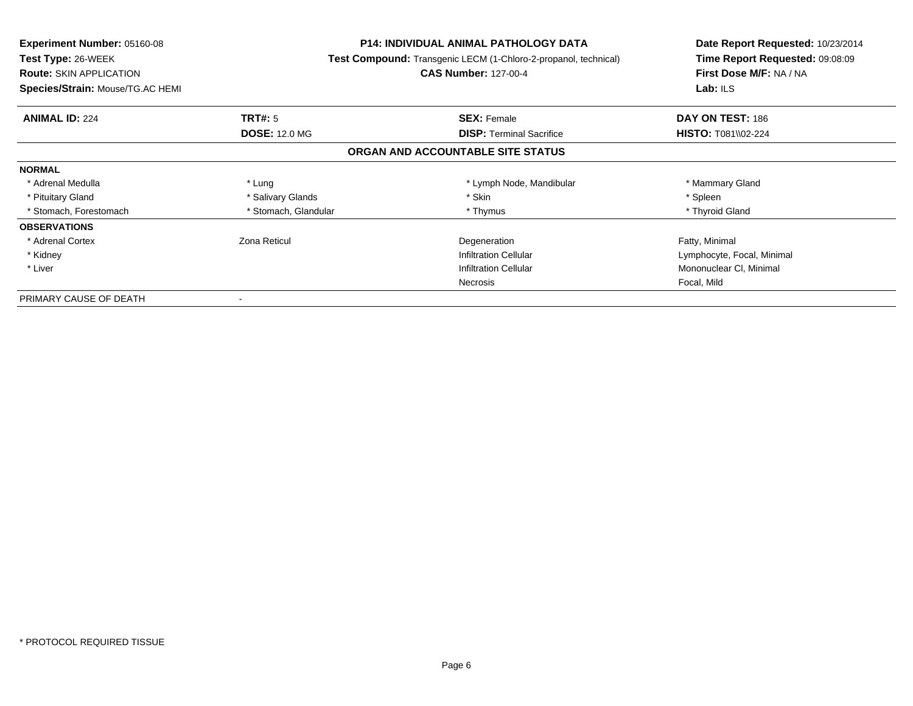| <b>Experiment Number: 05160-08</b> | <b>P14: INDIVIDUAL ANIMAL PATHOLOGY DATA</b><br>Test Compound: Transgenic LECM (1-Chloro-2-propanol, technical) |                                   | Date Report Requested: 10/23/2014 |
|------------------------------------|-----------------------------------------------------------------------------------------------------------------|-----------------------------------|-----------------------------------|
| <b>Test Type: 26-WEEK</b>          |                                                                                                                 |                                   | Time Report Requested: 09:08:09   |
| <b>Route: SKIN APPLICATION</b>     |                                                                                                                 | <b>CAS Number: 127-00-4</b>       | First Dose M/F: NA / NA           |
| Species/Strain: Mouse/TG.AC HEMI   |                                                                                                                 |                                   | Lab: ILS                          |
| <b>ANIMAL ID: 224</b>              | TRT#: 5                                                                                                         | <b>SEX: Female</b>                | DAY ON TEST: 186                  |
|                                    | <b>DOSE: 12.0 MG</b>                                                                                            | <b>DISP:</b> Terminal Sacrifice   | <b>HISTO: T081\\02-224</b>        |
|                                    |                                                                                                                 | ORGAN AND ACCOUNTABLE SITE STATUS |                                   |
| <b>NORMAL</b>                      |                                                                                                                 |                                   |                                   |
| * Adrenal Medulla                  | * Lung                                                                                                          | * Lymph Node, Mandibular          | * Mammary Gland                   |
| * Pituitary Gland                  | * Salivary Glands                                                                                               | * Skin                            | * Spleen                          |
| * Stomach, Forestomach             | * Stomach, Glandular                                                                                            | * Thymus                          | * Thyroid Gland                   |
| <b>OBSERVATIONS</b>                |                                                                                                                 |                                   |                                   |
| * Adrenal Cortex                   | Zona Reticul                                                                                                    | Degeneration                      | Fatty, Minimal                    |
| * Kidney                           |                                                                                                                 | <b>Infiltration Cellular</b>      | Lymphocyte, Focal, Minimal        |
| * Liver                            |                                                                                                                 | <b>Infiltration Cellular</b>      | Mononuclear CI, Minimal           |
|                                    |                                                                                                                 | Necrosis                          | Focal, Mild                       |
| PRIMARY CAUSE OF DEATH             |                                                                                                                 |                                   |                                   |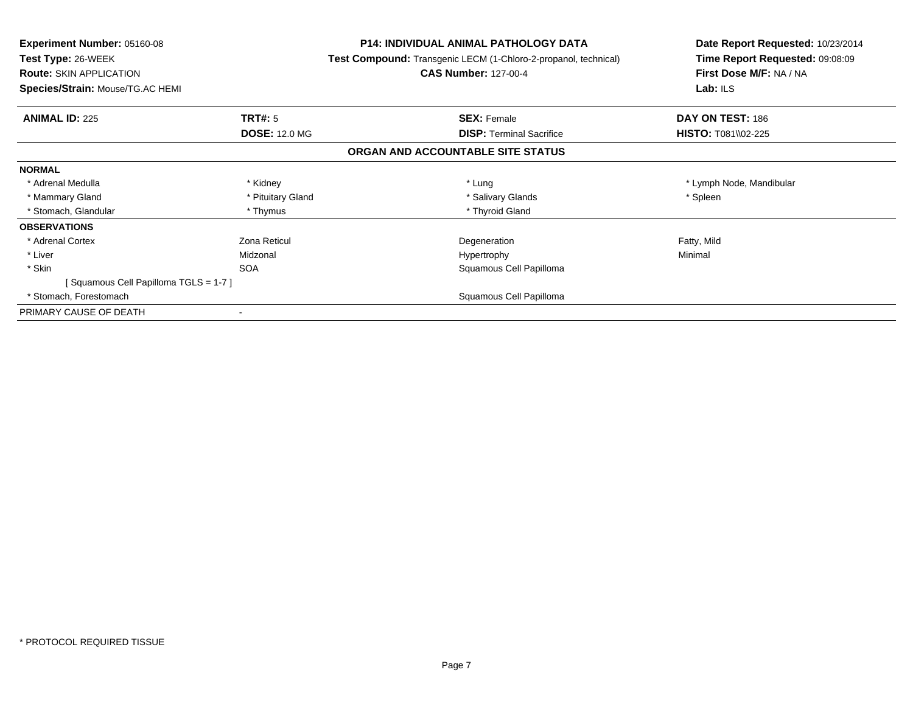| <b>Experiment Number: 05160-08</b><br><b>Test Type: 26-WEEK</b><br><b>Route: SKIN APPLICATION</b> |                      | <b>P14: INDIVIDUAL ANIMAL PATHOLOGY DATA</b><br><b>Test Compound:</b> Transgenic LECM (1-Chloro-2-propanol, technical)<br><b>CAS Number: 127-00-4</b> | Date Report Requested: 10/23/2014<br>Time Report Requested: 09:08:09<br>First Dose M/F: NA / NA |
|---------------------------------------------------------------------------------------------------|----------------------|-------------------------------------------------------------------------------------------------------------------------------------------------------|-------------------------------------------------------------------------------------------------|
| Species/Strain: Mouse/TG.AC HEMI                                                                  |                      |                                                                                                                                                       | Lab: ILS                                                                                        |
| <b>ANIMAL ID: 225</b>                                                                             | <b>TRT#:</b> 5       | <b>SEX: Female</b>                                                                                                                                    | DAY ON TEST: 186                                                                                |
|                                                                                                   | <b>DOSE: 12.0 MG</b> | <b>DISP: Terminal Sacrifice</b>                                                                                                                       | <b>HISTO: T081\\02-225</b>                                                                      |
|                                                                                                   |                      | ORGAN AND ACCOUNTABLE SITE STATUS                                                                                                                     |                                                                                                 |
| <b>NORMAL</b>                                                                                     |                      |                                                                                                                                                       |                                                                                                 |
| * Adrenal Medulla                                                                                 | * Kidney             | * Lung                                                                                                                                                | * Lymph Node, Mandibular                                                                        |
| * Mammary Gland                                                                                   | * Pituitary Gland    | * Salivary Glands                                                                                                                                     | * Spleen                                                                                        |
| * Stomach, Glandular                                                                              | * Thymus             | * Thyroid Gland                                                                                                                                       |                                                                                                 |
| <b>OBSERVATIONS</b>                                                                               |                      |                                                                                                                                                       |                                                                                                 |
| * Adrenal Cortex                                                                                  | Zona Reticul         | Degeneration                                                                                                                                          | Fatty, Mild                                                                                     |
| * Liver                                                                                           | Midzonal             | Hypertrophy                                                                                                                                           | Minimal                                                                                         |
| * Skin                                                                                            | <b>SOA</b>           | Squamous Cell Papilloma                                                                                                                               |                                                                                                 |
| [Squamous Cell Papilloma TGLS = 1-7]                                                              |                      |                                                                                                                                                       |                                                                                                 |
| * Stomach, Forestomach                                                                            |                      | Squamous Cell Papilloma                                                                                                                               |                                                                                                 |
| PRIMARY CAUSE OF DEATH                                                                            |                      |                                                                                                                                                       |                                                                                                 |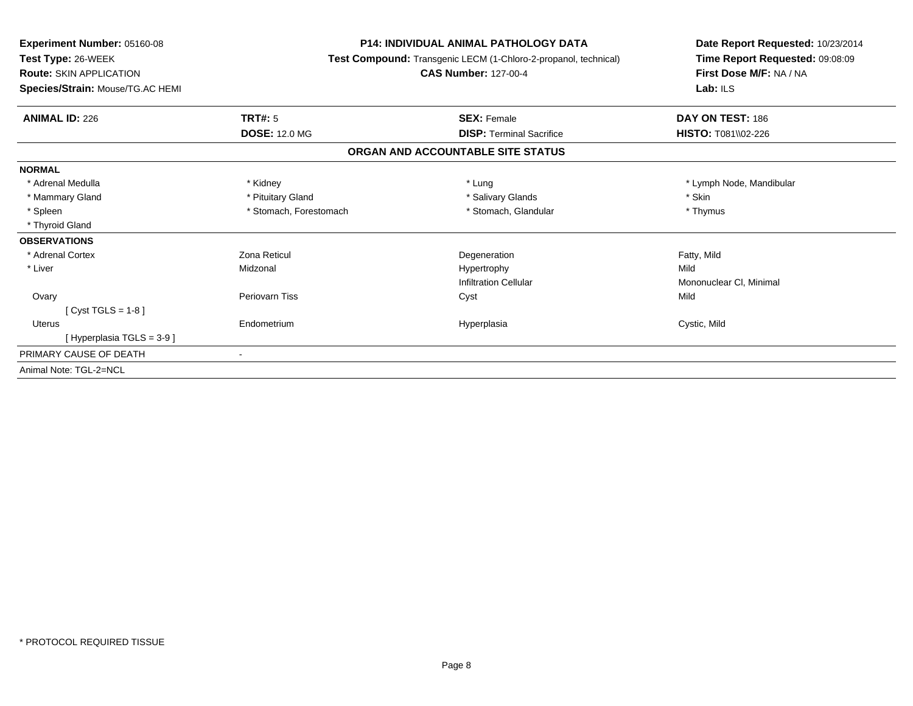| <b>Experiment Number: 05160-08</b><br>Test Type: 26-WEEK<br><b>Route: SKIN APPLICATION</b> | <b>P14: INDIVIDUAL ANIMAL PATHOLOGY DATA</b><br>Test Compound: Transgenic LECM (1-Chloro-2-propanol, technical)<br><b>CAS Number: 127-00-4</b> |                                   | Date Report Requested: 10/23/2014<br>Time Report Requested: 09:08:09<br>First Dose M/F: NA / NA |  |
|--------------------------------------------------------------------------------------------|------------------------------------------------------------------------------------------------------------------------------------------------|-----------------------------------|-------------------------------------------------------------------------------------------------|--|
| Species/Strain: Mouse/TG.AC HEMI                                                           |                                                                                                                                                |                                   | Lab: ILS                                                                                        |  |
| <b>ANIMAL ID: 226</b>                                                                      | TRT#: 5                                                                                                                                        | <b>SEX: Female</b>                | DAY ON TEST: 186                                                                                |  |
|                                                                                            | <b>DOSE: 12.0 MG</b>                                                                                                                           | <b>DISP:</b> Terminal Sacrifice   | <b>HISTO: T081\\02-226</b>                                                                      |  |
|                                                                                            |                                                                                                                                                | ORGAN AND ACCOUNTABLE SITE STATUS |                                                                                                 |  |
| <b>NORMAL</b>                                                                              |                                                                                                                                                |                                   |                                                                                                 |  |
| * Adrenal Medulla                                                                          | * Kidney                                                                                                                                       | * Lung                            | * Lymph Node, Mandibular                                                                        |  |
| * Mammary Gland                                                                            | * Pituitary Gland                                                                                                                              | * Salivary Glands                 | * Skin                                                                                          |  |
| * Spleen                                                                                   | * Stomach, Forestomach                                                                                                                         | * Stomach, Glandular              | * Thymus                                                                                        |  |
| * Thyroid Gland                                                                            |                                                                                                                                                |                                   |                                                                                                 |  |
| <b>OBSERVATIONS</b>                                                                        |                                                                                                                                                |                                   |                                                                                                 |  |
| * Adrenal Cortex                                                                           | Zona Reticul                                                                                                                                   | Degeneration                      | Fatty, Mild                                                                                     |  |
| * Liver                                                                                    | Midzonal                                                                                                                                       | Hypertrophy                       | Mild                                                                                            |  |
|                                                                                            |                                                                                                                                                | <b>Infiltration Cellular</b>      | Mononuclear CI, Minimal                                                                         |  |
| Ovary                                                                                      | Periovarn Tiss                                                                                                                                 | Cyst                              | Mild                                                                                            |  |
| [ $Cyst TGLS = 1-8$ ]                                                                      |                                                                                                                                                |                                   |                                                                                                 |  |
| Uterus                                                                                     | Endometrium                                                                                                                                    | Hyperplasia                       | Cystic, Mild                                                                                    |  |
| [ Hyperplasia TGLS = 3-9 ]                                                                 |                                                                                                                                                |                                   |                                                                                                 |  |
| PRIMARY CAUSE OF DEATH                                                                     |                                                                                                                                                |                                   |                                                                                                 |  |
| Animal Note: TGL-2=NCL                                                                     |                                                                                                                                                |                                   |                                                                                                 |  |
|                                                                                            |                                                                                                                                                |                                   |                                                                                                 |  |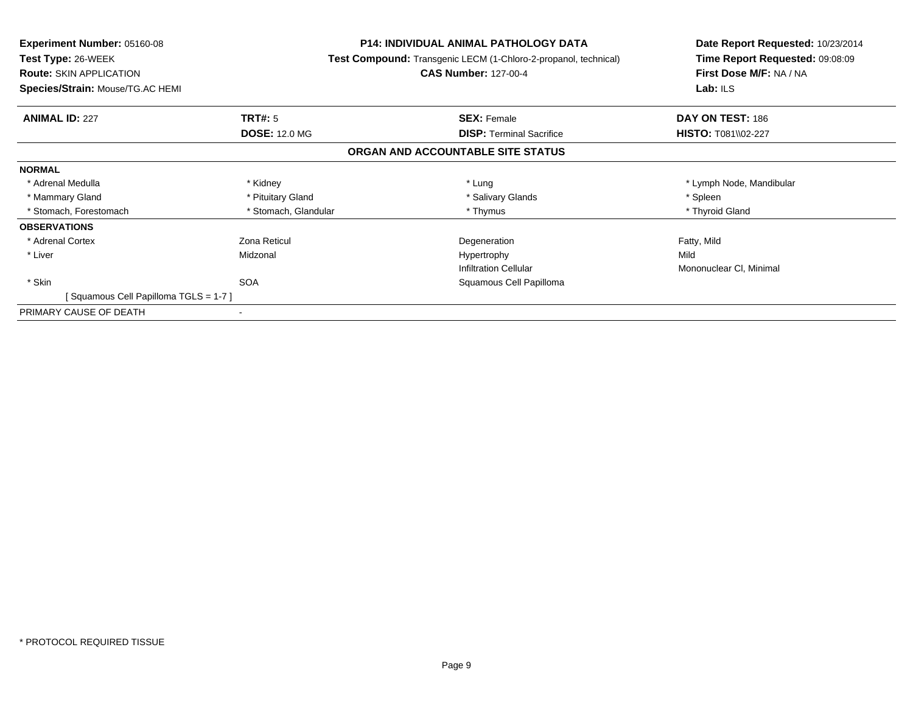| <b>Experiment Number: 05160-08</b>   | <b>P14: INDIVIDUAL ANIMAL PATHOLOGY DATA</b><br><b>Test Compound:</b> Transgenic LECM (1-Chloro-2-propanol, technical) |                                   | Date Report Requested: 10/23/2014 |
|--------------------------------------|------------------------------------------------------------------------------------------------------------------------|-----------------------------------|-----------------------------------|
| Test Type: 26-WEEK                   |                                                                                                                        |                                   | Time Report Requested: 09:08:09   |
| <b>Route: SKIN APPLICATION</b>       |                                                                                                                        | <b>CAS Number: 127-00-4</b>       | First Dose M/F: NA / NA           |
| Species/Strain: Mouse/TG.AC HEMI     |                                                                                                                        |                                   | Lab: $ILS$                        |
| <b>ANIMAL ID: 227</b>                | <b>TRT#: 5</b>                                                                                                         | <b>SEX: Female</b>                | DAY ON TEST: 186                  |
|                                      | <b>DOSE: 12.0 MG</b>                                                                                                   | <b>DISP:</b> Terminal Sacrifice   | <b>HISTO: T081\\02-227</b>        |
|                                      |                                                                                                                        | ORGAN AND ACCOUNTABLE SITE STATUS |                                   |
| <b>NORMAL</b>                        |                                                                                                                        |                                   |                                   |
| * Adrenal Medulla                    | * Kidney                                                                                                               | * Lung                            | * Lymph Node, Mandibular          |
| * Mammary Gland                      | * Pituitary Gland                                                                                                      | * Salivary Glands                 | * Spleen                          |
| * Stomach, Forestomach               | * Stomach, Glandular                                                                                                   | * Thymus                          | * Thyroid Gland                   |
| <b>OBSERVATIONS</b>                  |                                                                                                                        |                                   |                                   |
| * Adrenal Cortex                     | Zona Reticul                                                                                                           | Degeneration                      | Fatty, Mild                       |
| * Liver                              | Midzonal                                                                                                               | Hypertrophy                       | Mild                              |
|                                      |                                                                                                                        | <b>Infiltration Cellular</b>      | Mononuclear CI, Minimal           |
| * Skin                               | <b>SOA</b>                                                                                                             | Squamous Cell Papilloma           |                                   |
| [Squamous Cell Papilloma TGLS = 1-7] |                                                                                                                        |                                   |                                   |
| PRIMARY CAUSE OF DEATH               |                                                                                                                        |                                   |                                   |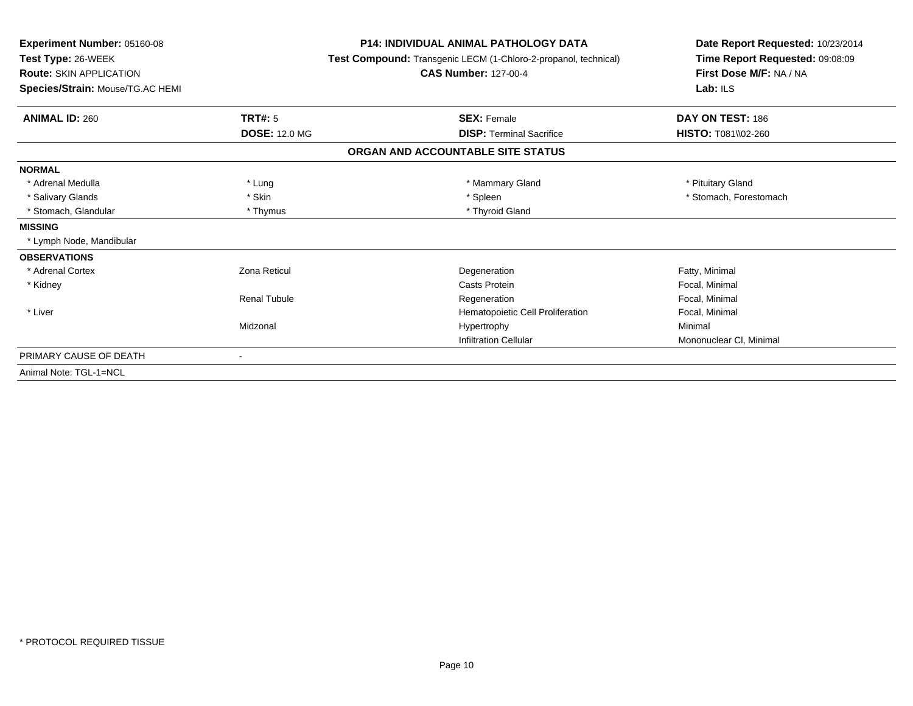| Experiment Number: 05160-08<br>Test Type: 26-WEEK<br><b>Route: SKIN APPLICATION</b> |                      | <b>P14: INDIVIDUAL ANIMAL PATHOLOGY DATA</b><br>Test Compound: Transgenic LECM (1-Chloro-2-propanol, technical)<br><b>CAS Number: 127-00-4</b> | Date Report Requested: 10/23/2014<br>Time Report Requested: 09:08:09<br>First Dose M/F: NA / NA |  |
|-------------------------------------------------------------------------------------|----------------------|------------------------------------------------------------------------------------------------------------------------------------------------|-------------------------------------------------------------------------------------------------|--|
| Species/Strain: Mouse/TG.AC HEMI                                                    |                      |                                                                                                                                                | Lab: ILS                                                                                        |  |
| <b>ANIMAL ID: 260</b>                                                               | TRT#: 5              | <b>SEX: Female</b>                                                                                                                             | DAY ON TEST: 186                                                                                |  |
|                                                                                     | <b>DOSE: 12.0 MG</b> | <b>DISP: Terminal Sacrifice</b>                                                                                                                | HISTO: T081\\02-260                                                                             |  |
|                                                                                     |                      | ORGAN AND ACCOUNTABLE SITE STATUS                                                                                                              |                                                                                                 |  |
| <b>NORMAL</b>                                                                       |                      |                                                                                                                                                |                                                                                                 |  |
| * Adrenal Medulla                                                                   | * Lung               | * Mammary Gland                                                                                                                                | * Pituitary Gland                                                                               |  |
| * Salivary Glands                                                                   | * Skin               | * Spleen                                                                                                                                       | * Stomach, Forestomach                                                                          |  |
| * Stomach, Glandular                                                                | * Thymus             | * Thyroid Gland                                                                                                                                |                                                                                                 |  |
| <b>MISSING</b>                                                                      |                      |                                                                                                                                                |                                                                                                 |  |
| * Lymph Node, Mandibular                                                            |                      |                                                                                                                                                |                                                                                                 |  |
| <b>OBSERVATIONS</b>                                                                 |                      |                                                                                                                                                |                                                                                                 |  |
| * Adrenal Cortex                                                                    | Zona Reticul         | Degeneration                                                                                                                                   | Fatty, Minimal                                                                                  |  |
| * Kidney                                                                            |                      | Casts Protein                                                                                                                                  | Focal, Minimal                                                                                  |  |
|                                                                                     | <b>Renal Tubule</b>  | Regeneration                                                                                                                                   | Focal, Minimal                                                                                  |  |
| * Liver                                                                             |                      | Hematopoietic Cell Proliferation                                                                                                               | Focal, Minimal                                                                                  |  |
|                                                                                     | Midzonal             | Hypertrophy                                                                                                                                    | Minimal                                                                                         |  |
|                                                                                     |                      | <b>Infiltration Cellular</b>                                                                                                                   | Mononuclear CI, Minimal                                                                         |  |
| PRIMARY CAUSE OF DEATH                                                              |                      |                                                                                                                                                |                                                                                                 |  |
| Animal Note: TGL-1=NCL                                                              |                      |                                                                                                                                                |                                                                                                 |  |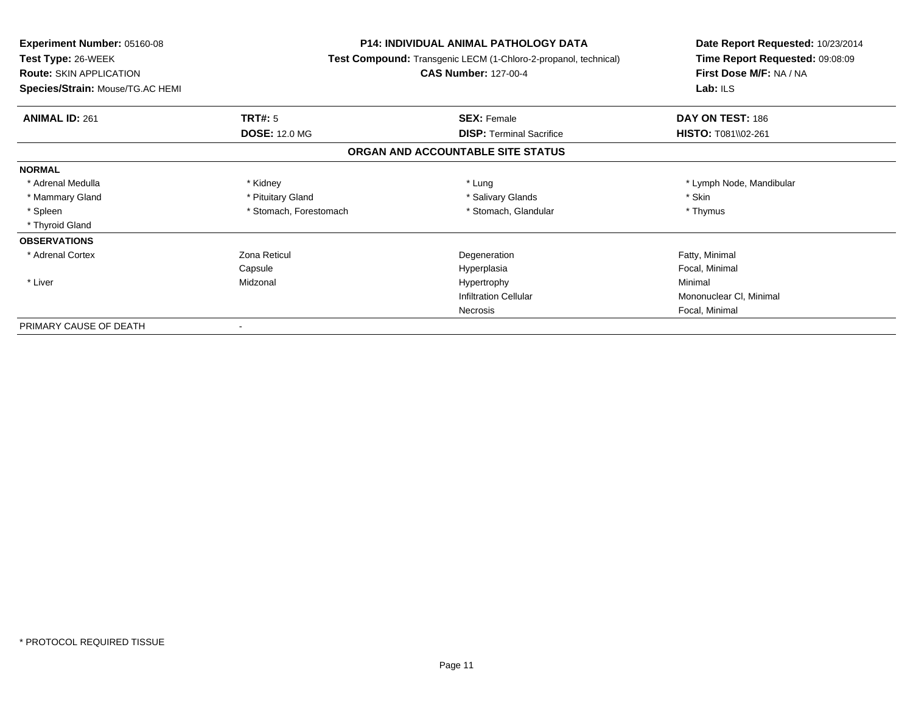| <b>Experiment Number: 05160-08</b> | <b>P14: INDIVIDUAL ANIMAL PATHOLOGY DATA</b><br>Test Compound: Transgenic LECM (1-Chloro-2-propanol, technical) |                                   | Date Report Requested: 10/23/2014<br>Time Report Requested: 09:08:09 |
|------------------------------------|-----------------------------------------------------------------------------------------------------------------|-----------------------------------|----------------------------------------------------------------------|
| Test Type: 26-WEEK                 |                                                                                                                 |                                   |                                                                      |
| <b>Route: SKIN APPLICATION</b>     |                                                                                                                 | <b>CAS Number: 127-00-4</b>       | First Dose M/F: NA / NA                                              |
| Species/Strain: Mouse/TG.AC HEMI   |                                                                                                                 |                                   | Lab: $ILS$                                                           |
| <b>ANIMAL ID: 261</b>              | <b>TRT#: 5</b>                                                                                                  | <b>SEX: Female</b>                | DAY ON TEST: 186                                                     |
|                                    | <b>DOSE: 12.0 MG</b>                                                                                            | <b>DISP: Terminal Sacrifice</b>   | HISTO: T081\\02-261                                                  |
|                                    |                                                                                                                 | ORGAN AND ACCOUNTABLE SITE STATUS |                                                                      |
| <b>NORMAL</b>                      |                                                                                                                 |                                   |                                                                      |
| * Adrenal Medulla                  | * Kidney                                                                                                        | * Lung                            | * Lymph Node, Mandibular                                             |
| * Mammary Gland                    | * Pituitary Gland                                                                                               | * Salivary Glands                 | * Skin                                                               |
| * Spleen                           | * Stomach, Forestomach                                                                                          | * Stomach, Glandular              | * Thymus                                                             |
| * Thyroid Gland                    |                                                                                                                 |                                   |                                                                      |
| <b>OBSERVATIONS</b>                |                                                                                                                 |                                   |                                                                      |
| * Adrenal Cortex                   | Zona Reticul                                                                                                    | Degeneration                      | Fatty, Minimal                                                       |
|                                    | Capsule                                                                                                         | Hyperplasia                       | Focal, Minimal                                                       |
| * Liver                            | Midzonal                                                                                                        | Hypertrophy                       | Minimal                                                              |
|                                    |                                                                                                                 | <b>Infiltration Cellular</b>      | Mononuclear CI, Minimal                                              |
|                                    |                                                                                                                 | <b>Necrosis</b>                   | Focal, Minimal                                                       |
| PRIMARY CAUSE OF DEATH             |                                                                                                                 |                                   |                                                                      |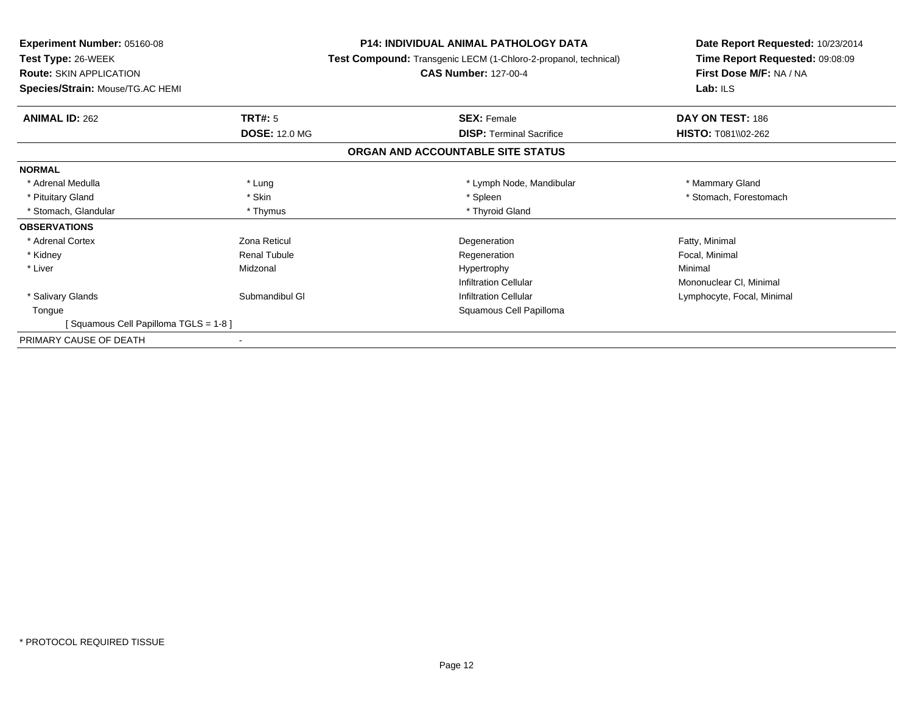| Experiment Number: 05160-08<br><b>P14: INDIVIDUAL ANIMAL PATHOLOGY DATA</b> |                                                                 | Date Report Requested: 10/23/2014 |
|-----------------------------------------------------------------------------|-----------------------------------------------------------------|-----------------------------------|
| Test Type: 26-WEEK                                                          | Test Compound: Transgenic LECM (1-Chloro-2-propanol, technical) | Time Report Requested: 09:08:09   |
| <b>Route: SKIN APPLICATION</b>                                              | <b>CAS Number: 127-00-4</b>                                     | First Dose M/F: NA / NA           |
| Species/Strain: Mouse/TG.AC HEMI                                            |                                                                 | Lab: $ILS$                        |
| <b>TRT#: 5</b><br><b>ANIMAL ID: 262</b>                                     | <b>SEX: Female</b>                                              | DAY ON TEST: 186                  |
| <b>DOSE: 12.0 MG</b>                                                        | <b>DISP:</b> Terminal Sacrifice                                 | <b>HISTO: T081\\02-262</b>        |
|                                                                             | ORGAN AND ACCOUNTABLE SITE STATUS                               |                                   |
| <b>NORMAL</b>                                                               |                                                                 |                                   |
| * Adrenal Medulla<br>* Lung                                                 | * Lymph Node, Mandibular                                        | * Mammary Gland                   |
| * Skin<br>* Pituitary Gland                                                 | * Spleen                                                        | * Stomach, Forestomach            |
| * Stomach, Glandular<br>* Thymus                                            | * Thyroid Gland                                                 |                                   |
| <b>OBSERVATIONS</b>                                                         |                                                                 |                                   |
| Zona Reticul<br>* Adrenal Cortex                                            | Degeneration                                                    | Fatty, Minimal                    |
| * Kidney<br><b>Renal Tubule</b>                                             | Regeneration                                                    | Focal, Minimal                    |
| * Liver<br>Midzonal                                                         | Hypertrophy                                                     | Minimal                           |
|                                                                             | <b>Infiltration Cellular</b>                                    | Mononuclear CI, Minimal           |
| * Salivary Glands<br>Submandibul GI                                         | <b>Infiltration Cellular</b>                                    | Lymphocyte, Focal, Minimal        |
| Tongue                                                                      | Squamous Cell Papilloma                                         |                                   |
| Squamous Cell Papilloma TGLS = 1-8 ]                                        |                                                                 |                                   |
| PRIMARY CAUSE OF DEATH                                                      |                                                                 |                                   |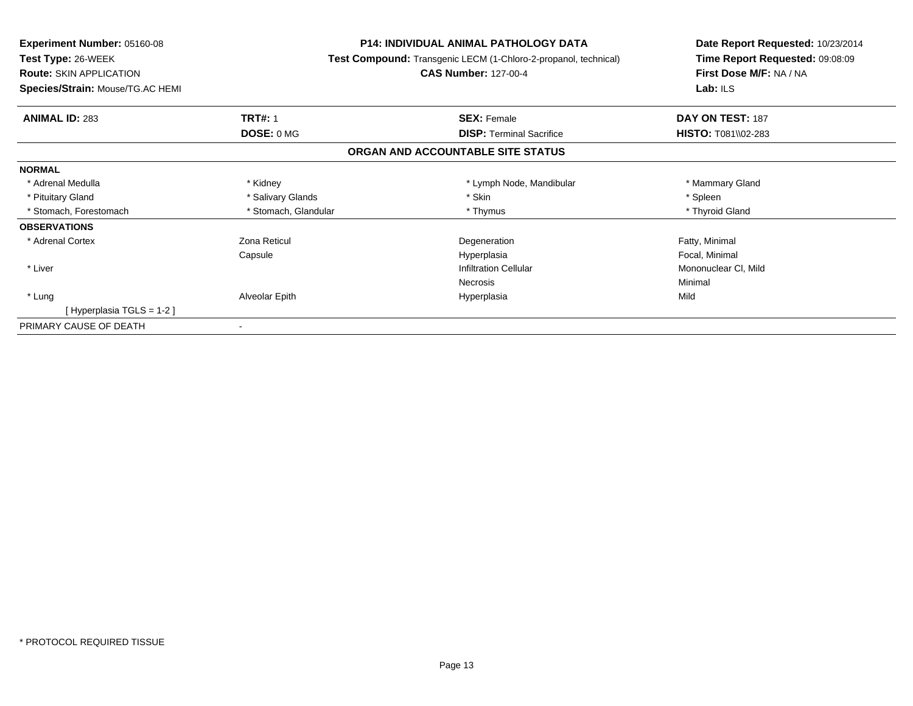| Experiment Number: 05160-08      | <b>P14: INDIVIDUAL ANIMAL PATHOLOGY DATA</b><br>Test Compound: Transgenic LECM (1-Chloro-2-propanol, technical) |                                   | Date Report Requested: 10/23/2014<br>Time Report Requested: 09:08:09 |
|----------------------------------|-----------------------------------------------------------------------------------------------------------------|-----------------------------------|----------------------------------------------------------------------|
| Test Type: 26-WEEK               |                                                                                                                 |                                   |                                                                      |
| <b>Route: SKIN APPLICATION</b>   |                                                                                                                 | <b>CAS Number: 127-00-4</b>       | First Dose M/F: NA / NA                                              |
| Species/Strain: Mouse/TG.AC HEMI |                                                                                                                 |                                   | Lab: ILS                                                             |
| <b>ANIMAL ID: 283</b>            | <b>TRT#: 1</b>                                                                                                  | <b>SEX: Female</b>                | DAY ON TEST: 187                                                     |
|                                  | DOSE: 0 MG                                                                                                      | <b>DISP: Terminal Sacrifice</b>   | <b>HISTO: T081\\02-283</b>                                           |
|                                  |                                                                                                                 | ORGAN AND ACCOUNTABLE SITE STATUS |                                                                      |
| <b>NORMAL</b>                    |                                                                                                                 |                                   |                                                                      |
| * Adrenal Medulla                | * Kidney                                                                                                        | * Lymph Node, Mandibular          | * Mammary Gland                                                      |
| * Pituitary Gland                | * Salivary Glands                                                                                               | * Skin                            | * Spleen                                                             |
| * Stomach, Forestomach           | * Stomach, Glandular                                                                                            | * Thymus                          | * Thyroid Gland                                                      |
| <b>OBSERVATIONS</b>              |                                                                                                                 |                                   |                                                                      |
| * Adrenal Cortex                 | Zona Reticul                                                                                                    | Degeneration                      | Fatty, Minimal                                                       |
|                                  | Capsule                                                                                                         | Hyperplasia                       | Focal, Minimal                                                       |
| * Liver                          |                                                                                                                 | <b>Infiltration Cellular</b>      | Mononuclear CI, Mild                                                 |
|                                  |                                                                                                                 | Necrosis                          | Minimal                                                              |
| * Lung                           | Alveolar Epith                                                                                                  | Hyperplasia                       | Mild                                                                 |
| [Hyperplasia TGLS = $1-2$ ]      |                                                                                                                 |                                   |                                                                      |
| PRIMARY CAUSE OF DEATH           |                                                                                                                 |                                   |                                                                      |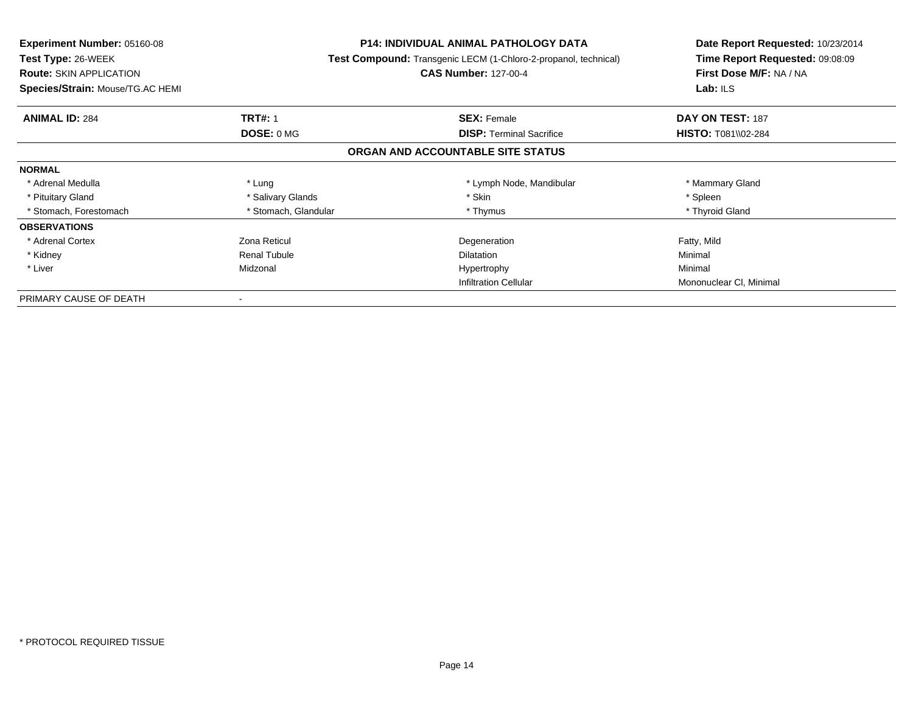| Experiment Number: 05160-08      |                      | P14: INDIVIDUAL ANIMAL PATHOLOGY DATA                                  | Date Report Requested: 10/23/2014 |
|----------------------------------|----------------------|------------------------------------------------------------------------|-----------------------------------|
| <b>Test Type: 26-WEEK</b>        |                      | <b>Test Compound:</b> Transgenic LECM (1-Chloro-2-propanol, technical) | Time Report Requested: 09:08:09   |
| <b>Route: SKIN APPLICATION</b>   |                      | <b>CAS Number: 127-00-4</b>                                            | First Dose M/F: NA / NA           |
| Species/Strain: Mouse/TG.AC HEMI |                      |                                                                        | Lab: $ILS$                        |
| <b>ANIMAL ID: 284</b>            | <b>TRT#: 1</b>       | <b>SEX: Female</b>                                                     | DAY ON TEST: 187                  |
|                                  | DOSE: 0 MG           | <b>DISP:</b> Terminal Sacrifice                                        | <b>HISTO: T081\\02-284</b>        |
|                                  |                      | ORGAN AND ACCOUNTABLE SITE STATUS                                      |                                   |
| <b>NORMAL</b>                    |                      |                                                                        |                                   |
| * Adrenal Medulla                | * Lung               | * Lymph Node, Mandibular                                               | * Mammary Gland                   |
| * Pituitary Gland                | * Salivary Glands    | * Skin                                                                 | * Spleen                          |
| * Stomach, Forestomach           | * Stomach, Glandular | * Thymus                                                               | * Thyroid Gland                   |
| <b>OBSERVATIONS</b>              |                      |                                                                        |                                   |
| * Adrenal Cortex                 | Zona Reticul         | Degeneration                                                           | Fatty, Mild                       |
| * Kidney                         | <b>Renal Tubule</b>  | <b>Dilatation</b>                                                      | Minimal                           |
| * Liver                          | Midzonal             | Hypertrophy                                                            | Minimal                           |
|                                  |                      | <b>Infiltration Cellular</b>                                           | Mononuclear CI, Minimal           |
| PRIMARY CAUSE OF DEATH           |                      |                                                                        |                                   |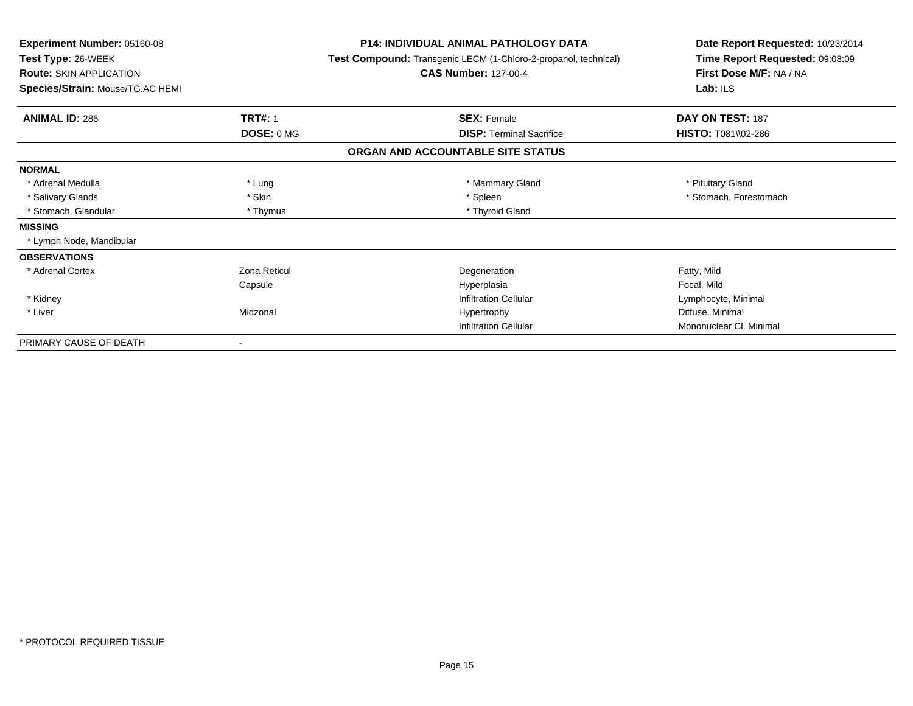| <b>Experiment Number: 05160-08</b><br>Test Type: 26-WEEK<br><b>Route: SKIN APPLICATION</b> | <b>P14: INDIVIDUAL ANIMAL PATHOLOGY DATA</b><br>Test Compound: Transgenic LECM (1-Chloro-2-propanol, technical)<br><b>CAS Number: 127-00-4</b> | Date Report Requested: 10/23/2014<br>Time Report Requested: 09:08:09<br>First Dose M/F: NA / NA |
|--------------------------------------------------------------------------------------------|------------------------------------------------------------------------------------------------------------------------------------------------|-------------------------------------------------------------------------------------------------|
| Species/Strain: Mouse/TG.AC HEMI                                                           |                                                                                                                                                | Lab: $ILS$                                                                                      |
| <b>TRT#: 1</b><br><b>ANIMAL ID: 286</b>                                                    | <b>SEX: Female</b>                                                                                                                             | DAY ON TEST: 187                                                                                |
| DOSE: 0 MG                                                                                 | <b>DISP: Terminal Sacrifice</b>                                                                                                                | HISTO: T081\\02-286                                                                             |
|                                                                                            | ORGAN AND ACCOUNTABLE SITE STATUS                                                                                                              |                                                                                                 |
| <b>NORMAL</b>                                                                              |                                                                                                                                                |                                                                                                 |
| * Adrenal Medulla<br>* Lung                                                                | * Mammary Gland                                                                                                                                | * Pituitary Gland                                                                               |
| * Salivary Glands<br>* Skin                                                                | * Spleen                                                                                                                                       | * Stomach, Forestomach                                                                          |
| * Stomach, Glandular<br>* Thymus                                                           | * Thyroid Gland                                                                                                                                |                                                                                                 |
| <b>MISSING</b>                                                                             |                                                                                                                                                |                                                                                                 |
| * Lymph Node, Mandibular                                                                   |                                                                                                                                                |                                                                                                 |
| <b>OBSERVATIONS</b>                                                                        |                                                                                                                                                |                                                                                                 |
| * Adrenal Cortex<br>Zona Reticul                                                           | Degeneration                                                                                                                                   | Fatty, Mild                                                                                     |
| Capsule                                                                                    | Hyperplasia                                                                                                                                    | Focal, Mild                                                                                     |
| * Kidney                                                                                   | <b>Infiltration Cellular</b>                                                                                                                   | Lymphocyte, Minimal                                                                             |
| * Liver<br>Midzonal                                                                        | Hypertrophy                                                                                                                                    | Diffuse, Minimal                                                                                |
|                                                                                            | <b>Infiltration Cellular</b>                                                                                                                   | Mononuclear CI, Minimal                                                                         |
| PRIMARY CAUSE OF DEATH                                                                     |                                                                                                                                                |                                                                                                 |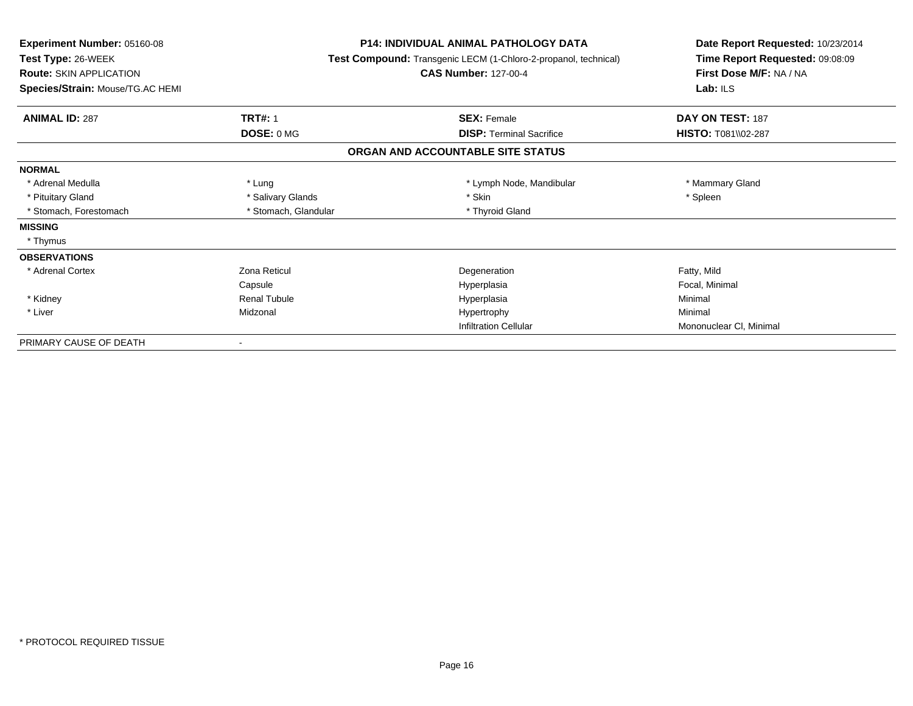| <b>Experiment Number: 05160-08</b><br>Test Type: 26-WEEK<br><b>Route: SKIN APPLICATION</b><br>Species/Strain: Mouse/TG.AC HEMI | <b>P14: INDIVIDUAL ANIMAL PATHOLOGY DATA</b><br>Test Compound: Transgenic LECM (1-Chloro-2-propanol, technical)<br><b>CAS Number: 127-00-4</b> |                                   | Date Report Requested: 10/23/2014<br>Time Report Requested: 09:08:09<br>First Dose M/F: NA / NA<br>Lab: $ILS$ |
|--------------------------------------------------------------------------------------------------------------------------------|------------------------------------------------------------------------------------------------------------------------------------------------|-----------------------------------|---------------------------------------------------------------------------------------------------------------|
| <b>ANIMAL ID: 287</b>                                                                                                          | <b>TRT#: 1</b>                                                                                                                                 | <b>SEX: Female</b>                | DAY ON TEST: 187                                                                                              |
|                                                                                                                                | DOSE: 0 MG                                                                                                                                     | <b>DISP: Terminal Sacrifice</b>   | HISTO: T081\\02-287                                                                                           |
|                                                                                                                                |                                                                                                                                                | ORGAN AND ACCOUNTABLE SITE STATUS |                                                                                                               |
| <b>NORMAL</b>                                                                                                                  |                                                                                                                                                |                                   |                                                                                                               |
| * Adrenal Medulla                                                                                                              | * Lung                                                                                                                                         | * Lymph Node, Mandibular          | * Mammary Gland                                                                                               |
| * Pituitary Gland                                                                                                              | * Salivary Glands                                                                                                                              | * Skin                            | * Spleen                                                                                                      |
| * Stomach, Forestomach                                                                                                         | * Stomach, Glandular                                                                                                                           | * Thyroid Gland                   |                                                                                                               |
| <b>MISSING</b>                                                                                                                 |                                                                                                                                                |                                   |                                                                                                               |
| * Thymus                                                                                                                       |                                                                                                                                                |                                   |                                                                                                               |
| <b>OBSERVATIONS</b>                                                                                                            |                                                                                                                                                |                                   |                                                                                                               |
| * Adrenal Cortex                                                                                                               | Zona Reticul                                                                                                                                   | Degeneration                      | Fatty, Mild                                                                                                   |
|                                                                                                                                | Capsule                                                                                                                                        | Hyperplasia                       | Focal, Minimal                                                                                                |
| * Kidney                                                                                                                       | <b>Renal Tubule</b>                                                                                                                            | Hyperplasia                       | Minimal                                                                                                       |
| * Liver                                                                                                                        | Midzonal                                                                                                                                       | Hypertrophy                       | Minimal                                                                                                       |
|                                                                                                                                |                                                                                                                                                | <b>Infiltration Cellular</b>      | Mononuclear CI, Minimal                                                                                       |
| PRIMARY CAUSE OF DEATH                                                                                                         |                                                                                                                                                |                                   |                                                                                                               |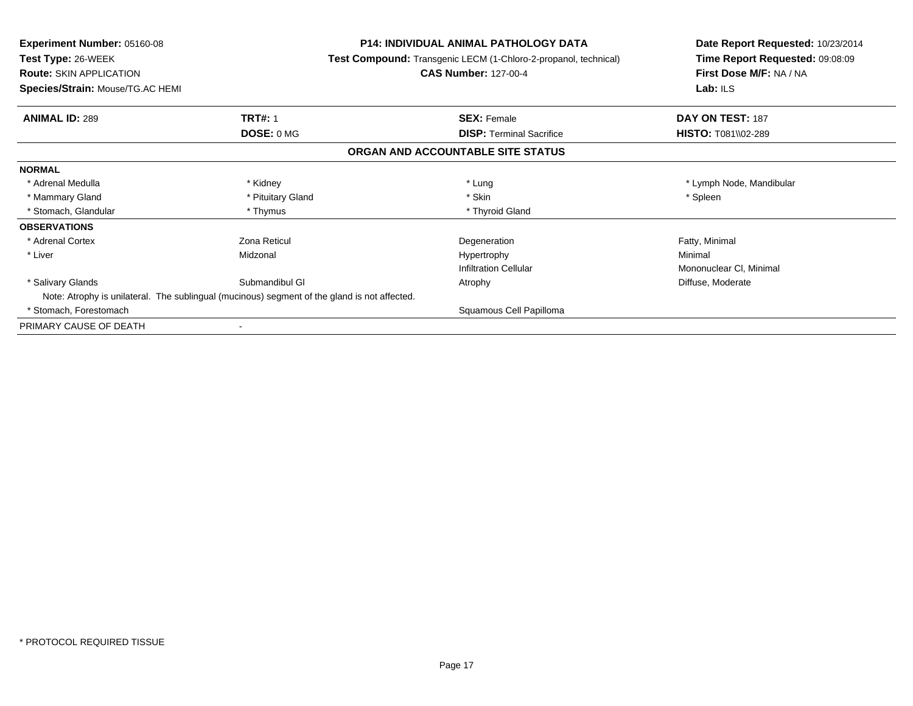| <b>Experiment Number: 05160-08</b>                                                           | <b>P14: INDIVIDUAL ANIMAL PATHOLOGY DATA</b>                           | Date Report Requested: 10/23/2014<br>Time Report Requested: 09:08:09 |
|----------------------------------------------------------------------------------------------|------------------------------------------------------------------------|----------------------------------------------------------------------|
| <b>Test Type: 26-WEEK</b>                                                                    | <b>Test Compound:</b> Transgenic LECM (1-Chloro-2-propanol, technical) |                                                                      |
| <b>Route: SKIN APPLICATION</b>                                                               | <b>CAS Number: 127-00-4</b>                                            | First Dose M/F: NA / NA                                              |
| Species/Strain: Mouse/TG.AC HEMI                                                             |                                                                        | Lab: $ILS$                                                           |
| <b>TRT#: 1</b><br><b>ANIMAL ID: 289</b>                                                      | <b>SEX: Female</b>                                                     | DAY ON TEST: 187                                                     |
| DOSE: 0 MG                                                                                   | <b>DISP: Terminal Sacrifice</b>                                        | <b>HISTO: T081\\02-289</b>                                           |
|                                                                                              | ORGAN AND ACCOUNTABLE SITE STATUS                                      |                                                                      |
| <b>NORMAL</b>                                                                                |                                                                        |                                                                      |
| * Kidney<br>* Adrenal Medulla                                                                | * Lung                                                                 | * Lymph Node, Mandibular                                             |
| * Pituitary Gland<br>* Mammary Gland                                                         | * Skin                                                                 | * Spleen                                                             |
| * Stomach, Glandular<br>* Thymus                                                             | * Thyroid Gland                                                        |                                                                      |
| <b>OBSERVATIONS</b>                                                                          |                                                                        |                                                                      |
| * Adrenal Cortex<br>Zona Reticul                                                             | Degeneration                                                           | Fatty, Minimal                                                       |
| * Liver<br>Midzonal                                                                          | Hypertrophy                                                            | Minimal                                                              |
|                                                                                              | <b>Infiltration Cellular</b>                                           | Mononuclear CI, Minimal                                              |
| * Salivary Glands<br>Submandibul GI                                                          | Atrophy                                                                | Diffuse, Moderate                                                    |
| Note: Atrophy is unilateral. The sublingual (mucinous) segment of the gland is not affected. |                                                                        |                                                                      |
| * Stomach, Forestomach                                                                       | Squamous Cell Papilloma                                                |                                                                      |
| PRIMARY CAUSE OF DEATH                                                                       |                                                                        |                                                                      |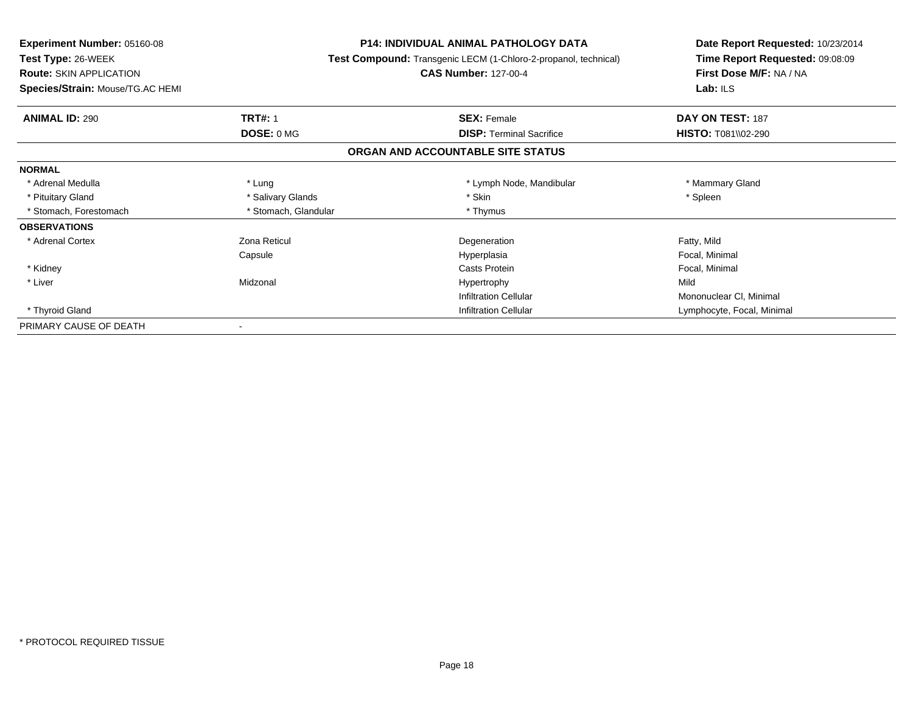| Experiment Number: 05160-08             | <b>P14: INDIVIDUAL ANIMAL PATHOLOGY DATA</b><br>Test Compound: Transgenic LECM (1-Chloro-2-propanol, technical) |                                   | Date Report Requested: 10/23/2014<br>Time Report Requested: 09:08:09 |
|-----------------------------------------|-----------------------------------------------------------------------------------------------------------------|-----------------------------------|----------------------------------------------------------------------|
| Test Type: 26-WEEK                      |                                                                                                                 |                                   |                                                                      |
| <b>Route: SKIN APPLICATION</b>          |                                                                                                                 | <b>CAS Number: 127-00-4</b>       | First Dose M/F: NA / NA                                              |
| <b>Species/Strain: Mouse/TG.AC HEMI</b> |                                                                                                                 |                                   | Lab: $ILS$                                                           |
| <b>ANIMAL ID: 290</b>                   | <b>TRT#: 1</b>                                                                                                  | <b>SEX: Female</b>                | DAY ON TEST: 187                                                     |
|                                         | DOSE: 0 MG                                                                                                      | <b>DISP: Terminal Sacrifice</b>   | <b>HISTO: T081\\02-290</b>                                           |
|                                         |                                                                                                                 | ORGAN AND ACCOUNTABLE SITE STATUS |                                                                      |
| <b>NORMAL</b>                           |                                                                                                                 |                                   |                                                                      |
| * Adrenal Medulla                       | * Lung                                                                                                          | * Lymph Node, Mandibular          | * Mammary Gland                                                      |
| * Pituitary Gland                       | * Salivary Glands                                                                                               | * Skin                            | * Spleen                                                             |
| * Stomach, Forestomach                  | * Stomach, Glandular                                                                                            | * Thymus                          |                                                                      |
| <b>OBSERVATIONS</b>                     |                                                                                                                 |                                   |                                                                      |
| * Adrenal Cortex                        | Zona Reticul                                                                                                    | Degeneration                      | Fatty, Mild                                                          |
|                                         | Capsule                                                                                                         | Hyperplasia                       | Focal, Minimal                                                       |
| * Kidney                                |                                                                                                                 | Casts Protein                     | Focal, Minimal                                                       |
| * Liver                                 | Midzonal                                                                                                        | Hypertrophy                       | Mild                                                                 |
|                                         |                                                                                                                 | <b>Infiltration Cellular</b>      | Mononuclear CI, Minimal                                              |
| * Thyroid Gland                         |                                                                                                                 | <b>Infiltration Cellular</b>      | Lymphocyte, Focal, Minimal                                           |
| PRIMARY CAUSE OF DEATH                  |                                                                                                                 |                                   |                                                                      |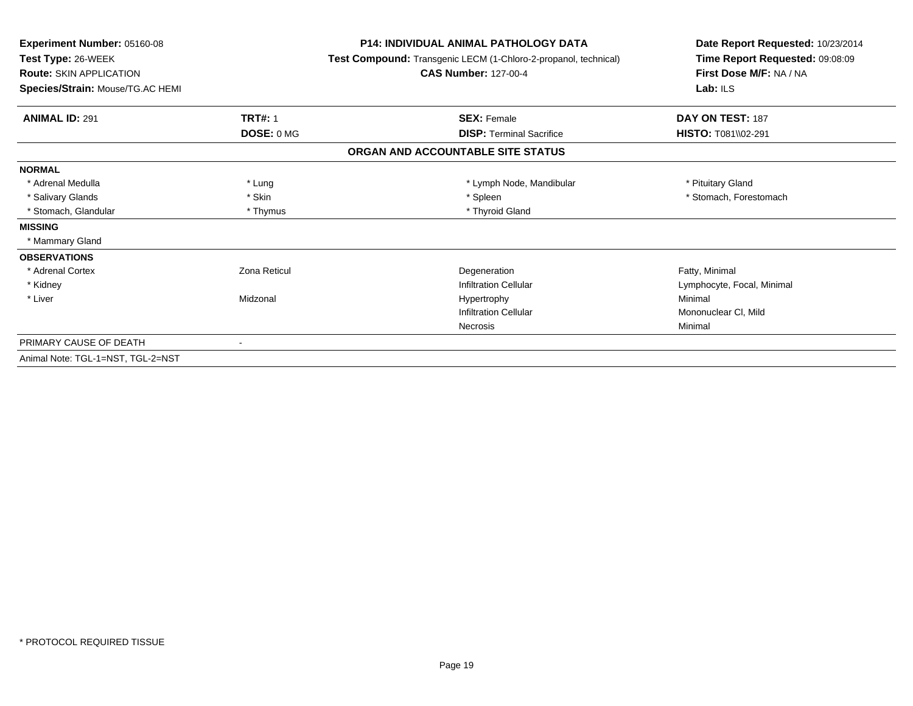| Experiment Number: 05160-08<br>Test Type: 26-WEEK<br><b>Route: SKIN APPLICATION</b> |                | <b>P14: INDIVIDUAL ANIMAL PATHOLOGY DATA</b><br>Test Compound: Transgenic LECM (1-Chloro-2-propanol, technical)<br><b>CAS Number: 127-00-4</b> | Date Report Requested: 10/23/2014<br>Time Report Requested: 09:08:09<br>First Dose M/F: NA / NA |
|-------------------------------------------------------------------------------------|----------------|------------------------------------------------------------------------------------------------------------------------------------------------|-------------------------------------------------------------------------------------------------|
| Species/Strain: Mouse/TG.AC HEMI                                                    |                |                                                                                                                                                | Lab: $ILS$                                                                                      |
| <b>ANIMAL ID: 291</b>                                                               | <b>TRT#: 1</b> | <b>SEX: Female</b>                                                                                                                             | DAY ON TEST: 187                                                                                |
|                                                                                     | DOSE: 0 MG     | <b>DISP: Terminal Sacrifice</b>                                                                                                                | HISTO: T081\\02-291                                                                             |
|                                                                                     |                | ORGAN AND ACCOUNTABLE SITE STATUS                                                                                                              |                                                                                                 |
| <b>NORMAL</b>                                                                       |                |                                                                                                                                                |                                                                                                 |
| * Adrenal Medulla                                                                   | * Lung         | * Lymph Node, Mandibular                                                                                                                       | * Pituitary Gland                                                                               |
| * Salivary Glands                                                                   | * Skin         | * Spleen                                                                                                                                       | * Stomach, Forestomach                                                                          |
| * Stomach, Glandular                                                                | * Thymus       | * Thyroid Gland                                                                                                                                |                                                                                                 |
| <b>MISSING</b>                                                                      |                |                                                                                                                                                |                                                                                                 |
| * Mammary Gland                                                                     |                |                                                                                                                                                |                                                                                                 |
| <b>OBSERVATIONS</b>                                                                 |                |                                                                                                                                                |                                                                                                 |
| * Adrenal Cortex                                                                    | Zona Reticul   | Degeneration                                                                                                                                   | Fatty, Minimal                                                                                  |
| * Kidney                                                                            |                | <b>Infiltration Cellular</b>                                                                                                                   | Lymphocyte, Focal, Minimal                                                                      |
| * Liver                                                                             | Midzonal       | Hypertrophy                                                                                                                                    | Minimal                                                                                         |
|                                                                                     |                | <b>Infiltration Cellular</b>                                                                                                                   | Mononuclear CI, Mild                                                                            |
|                                                                                     |                | Necrosis                                                                                                                                       | Minimal                                                                                         |
| PRIMARY CAUSE OF DEATH                                                              |                |                                                                                                                                                |                                                                                                 |
| Animal Note: TGL-1=NST, TGL-2=NST                                                   |                |                                                                                                                                                |                                                                                                 |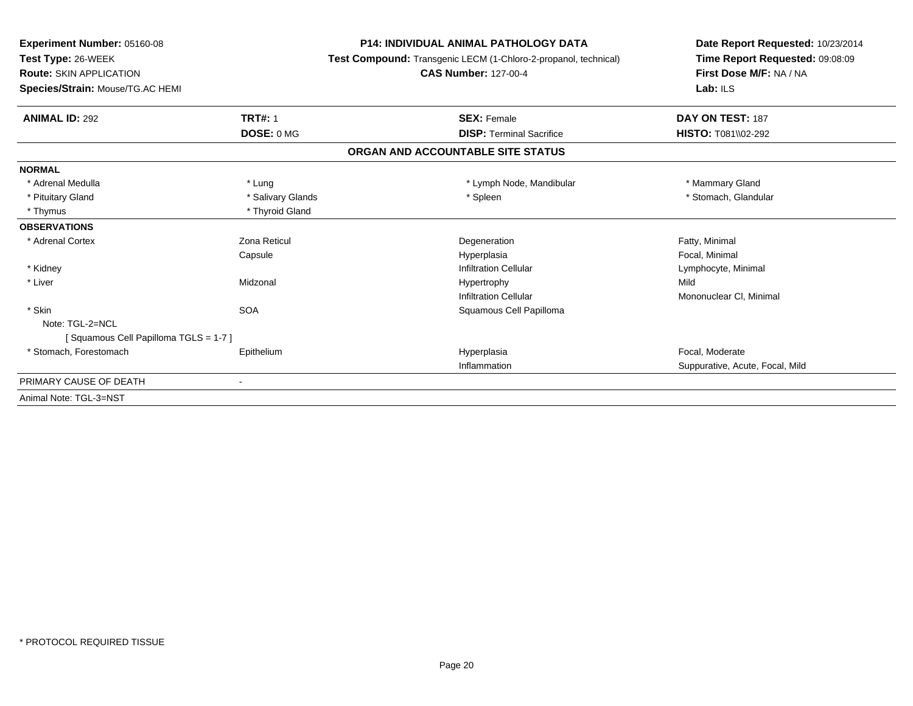| Experiment Number: 05160-08          |                   | <b>P14: INDIVIDUAL ANIMAL PATHOLOGY DATA</b>                    | Date Report Requested: 10/23/2014                          |  |
|--------------------------------------|-------------------|-----------------------------------------------------------------|------------------------------------------------------------|--|
| Test Type: 26-WEEK                   |                   | Test Compound: Transgenic LECM (1-Chloro-2-propanol, technical) | Time Report Requested: 09:08:09<br>First Dose M/F: NA / NA |  |
| <b>Route: SKIN APPLICATION</b>       |                   | <b>CAS Number: 127-00-4</b>                                     |                                                            |  |
| Species/Strain: Mouse/TG.AC HEMI     |                   |                                                                 | Lab: ILS                                                   |  |
| <b>ANIMAL ID: 292</b>                | <b>TRT#: 1</b>    | <b>SEX: Female</b>                                              | DAY ON TEST: 187                                           |  |
|                                      | DOSE: 0 MG        | <b>DISP: Terminal Sacrifice</b>                                 | <b>HISTO: T081\\02-292</b>                                 |  |
|                                      |                   | ORGAN AND ACCOUNTABLE SITE STATUS                               |                                                            |  |
| <b>NORMAL</b>                        |                   |                                                                 |                                                            |  |
| * Adrenal Medulla                    | * Lung            | * Lymph Node, Mandibular                                        | * Mammary Gland                                            |  |
| * Pituitary Gland                    | * Salivary Glands | * Spleen                                                        | * Stomach, Glandular                                       |  |
| * Thymus                             | * Thyroid Gland   |                                                                 |                                                            |  |
| <b>OBSERVATIONS</b>                  |                   |                                                                 |                                                            |  |
| * Adrenal Cortex                     | Zona Reticul      | Degeneration                                                    | Fatty, Minimal                                             |  |
|                                      | Capsule           | Hyperplasia                                                     | Focal, Minimal                                             |  |
| * Kidney                             |                   | <b>Infiltration Cellular</b>                                    | Lymphocyte, Minimal                                        |  |
| * Liver                              | Midzonal          | Hypertrophy                                                     | Mild                                                       |  |
|                                      |                   | <b>Infiltration Cellular</b>                                    | Mononuclear CI, Minimal                                    |  |
| * Skin                               | <b>SOA</b>        | Squamous Cell Papilloma                                         |                                                            |  |
| Note: TGL-2=NCL                      |                   |                                                                 |                                                            |  |
| [Squamous Cell Papilloma TGLS = 1-7] |                   |                                                                 |                                                            |  |
| * Stomach, Forestomach               | Epithelium        | Hyperplasia                                                     | Focal, Moderate                                            |  |
|                                      |                   | Inflammation                                                    | Suppurative, Acute, Focal, Mild                            |  |
| PRIMARY CAUSE OF DEATH               | $\blacksquare$    |                                                                 |                                                            |  |
| Animal Note: TGL-3=NST               |                   |                                                                 |                                                            |  |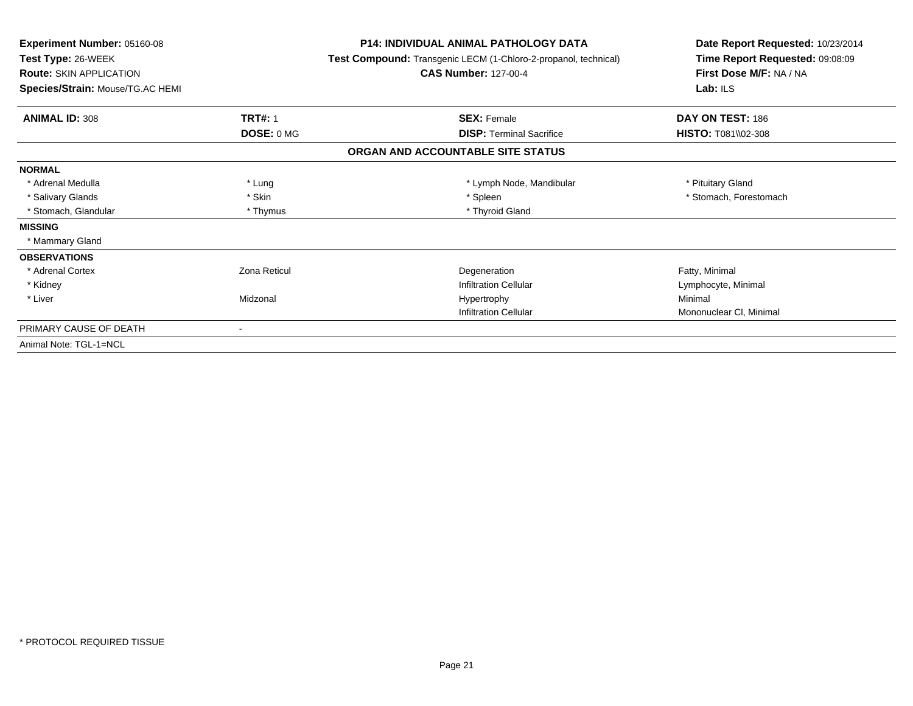| <b>Experiment Number: 05160-08</b><br>Test Type: 26-WEEK<br><b>Route: SKIN APPLICATION</b><br>Species/Strain: Mouse/TG.AC HEMI |                     | <b>P14: INDIVIDUAL ANIMAL PATHOLOGY DATA</b><br>Test Compound: Transgenic LECM (1-Chloro-2-propanol, technical)<br><b>CAS Number: 127-00-4</b> | Date Report Requested: 10/23/2014<br>Time Report Requested: 09:08:09<br>First Dose M/F: NA / NA<br>Lab: ILS |
|--------------------------------------------------------------------------------------------------------------------------------|---------------------|------------------------------------------------------------------------------------------------------------------------------------------------|-------------------------------------------------------------------------------------------------------------|
| <b>ANIMAL ID: 308</b>                                                                                                          | <b>TRT#: 1</b>      | <b>SEX: Female</b>                                                                                                                             | DAY ON TEST: 186                                                                                            |
|                                                                                                                                | DOSE: 0 MG          | <b>DISP:</b> Terminal Sacrifice                                                                                                                | <b>HISTO: T081\\02-308</b>                                                                                  |
|                                                                                                                                |                     | ORGAN AND ACCOUNTABLE SITE STATUS                                                                                                              |                                                                                                             |
| <b>NORMAL</b>                                                                                                                  |                     |                                                                                                                                                |                                                                                                             |
| * Adrenal Medulla                                                                                                              | * Lung              | * Lymph Node, Mandibular                                                                                                                       | * Pituitary Gland                                                                                           |
| * Salivary Glands                                                                                                              | * Skin              | * Spleen                                                                                                                                       | * Stomach, Forestomach                                                                                      |
| * Stomach, Glandular                                                                                                           | * Thymus            | * Thyroid Gland                                                                                                                                |                                                                                                             |
| <b>MISSING</b>                                                                                                                 |                     |                                                                                                                                                |                                                                                                             |
| * Mammary Gland                                                                                                                |                     |                                                                                                                                                |                                                                                                             |
| <b>OBSERVATIONS</b>                                                                                                            |                     |                                                                                                                                                |                                                                                                             |
| * Adrenal Cortex                                                                                                               | <b>Zona Reticul</b> | Degeneration                                                                                                                                   | Fatty, Minimal                                                                                              |
| * Kidney                                                                                                                       |                     | <b>Infiltration Cellular</b>                                                                                                                   | Lymphocyte, Minimal                                                                                         |
| * Liver                                                                                                                        | Midzonal            | Hypertrophy                                                                                                                                    | Minimal                                                                                                     |
|                                                                                                                                |                     | <b>Infiltration Cellular</b>                                                                                                                   | Mononuclear CI, Minimal                                                                                     |
| PRIMARY CAUSE OF DEATH                                                                                                         |                     |                                                                                                                                                |                                                                                                             |
| Animal Note: TGL-1=NCL                                                                                                         |                     |                                                                                                                                                |                                                                                                             |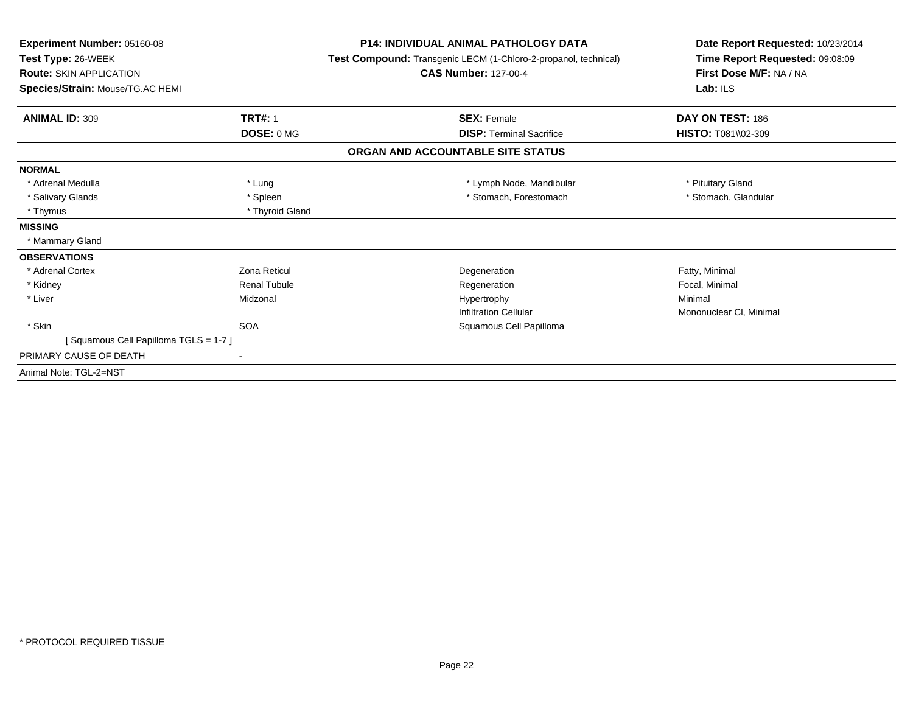| Experiment Number: 05160-08<br>Test Type: 26-WEEK<br><b>Route: SKIN APPLICATION</b><br>Species/Strain: Mouse/TG.AC HEMI |                     | <b>P14: INDIVIDUAL ANIMAL PATHOLOGY DATA</b><br>Test Compound: Transgenic LECM (1-Chloro-2-propanol, technical)<br><b>CAS Number: 127-00-4</b> | Date Report Requested: 10/23/2014<br>Time Report Requested: 09:08:09<br>First Dose M/F: NA / NA<br>Lab: $ILS$ |  |
|-------------------------------------------------------------------------------------------------------------------------|---------------------|------------------------------------------------------------------------------------------------------------------------------------------------|---------------------------------------------------------------------------------------------------------------|--|
| <b>ANIMAL ID: 309</b>                                                                                                   | <b>TRT#: 1</b>      | <b>SEX: Female</b>                                                                                                                             | DAY ON TEST: 186                                                                                              |  |
|                                                                                                                         | DOSE: 0 MG          | <b>DISP: Terminal Sacrifice</b>                                                                                                                | <b>HISTO: T081\\02-309</b>                                                                                    |  |
|                                                                                                                         |                     | ORGAN AND ACCOUNTABLE SITE STATUS                                                                                                              |                                                                                                               |  |
| <b>NORMAL</b>                                                                                                           |                     |                                                                                                                                                |                                                                                                               |  |
| * Adrenal Medulla                                                                                                       | * Lung              | * Lymph Node, Mandibular                                                                                                                       | * Pituitary Gland                                                                                             |  |
| * Salivary Glands                                                                                                       | * Spleen            | * Stomach, Forestomach                                                                                                                         | * Stomach, Glandular                                                                                          |  |
| * Thymus                                                                                                                | * Thyroid Gland     |                                                                                                                                                |                                                                                                               |  |
| <b>MISSING</b>                                                                                                          |                     |                                                                                                                                                |                                                                                                               |  |
| * Mammary Gland                                                                                                         |                     |                                                                                                                                                |                                                                                                               |  |
| <b>OBSERVATIONS</b>                                                                                                     |                     |                                                                                                                                                |                                                                                                               |  |
| * Adrenal Cortex                                                                                                        | Zona Reticul        | Degeneration                                                                                                                                   | Fatty, Minimal                                                                                                |  |
| * Kidney                                                                                                                | <b>Renal Tubule</b> | Regeneration                                                                                                                                   | Focal, Minimal                                                                                                |  |
| * Liver                                                                                                                 | Midzonal            | Hypertrophy                                                                                                                                    | Minimal                                                                                                       |  |
|                                                                                                                         |                     | <b>Infiltration Cellular</b>                                                                                                                   | Mononuclear CI, Minimal                                                                                       |  |
| * Skin                                                                                                                  | <b>SOA</b>          | Squamous Cell Papilloma                                                                                                                        |                                                                                                               |  |
| [Squamous Cell Papilloma TGLS = 1-7]                                                                                    |                     |                                                                                                                                                |                                                                                                               |  |
| PRIMARY CAUSE OF DEATH                                                                                                  |                     |                                                                                                                                                |                                                                                                               |  |
| Animal Note: TGL-2=NST                                                                                                  |                     |                                                                                                                                                |                                                                                                               |  |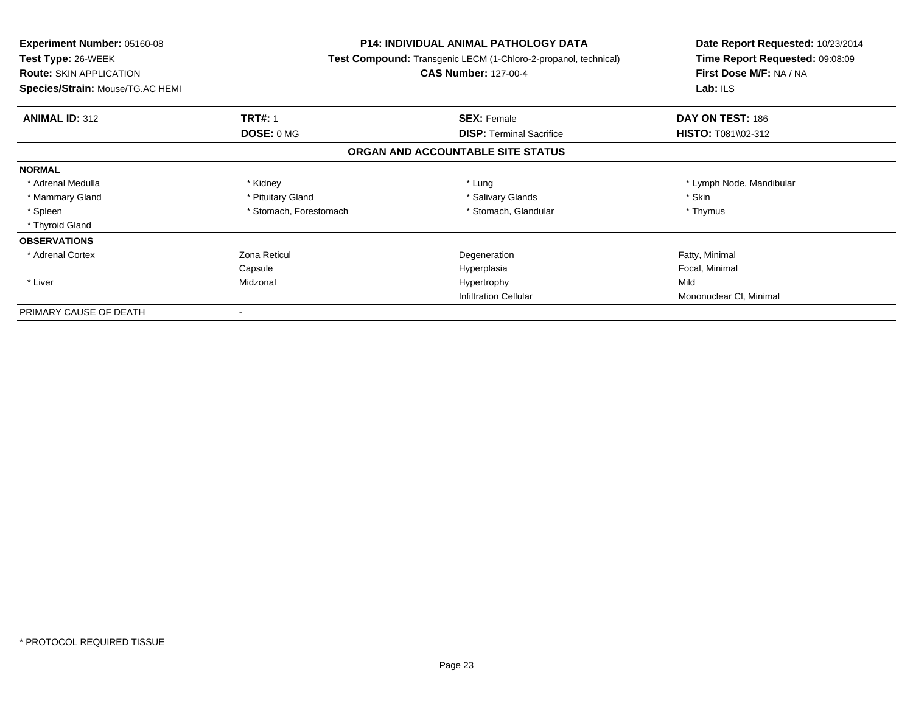| Experiment Number: 05160-08      |                                                                        | <b>P14: INDIVIDUAL ANIMAL PATHOLOGY DATA</b> | Date Report Requested: 10/23/2014<br>Time Report Requested: 09:08:09 |  |
|----------------------------------|------------------------------------------------------------------------|----------------------------------------------|----------------------------------------------------------------------|--|
| Test Type: 26-WEEK               | <b>Test Compound:</b> Transgenic LECM (1-Chloro-2-propanol, technical) |                                              |                                                                      |  |
| <b>Route: SKIN APPLICATION</b>   |                                                                        | <b>CAS Number: 127-00-4</b>                  | First Dose M/F: NA / NA                                              |  |
| Species/Strain: Mouse/TG.AC HEMI |                                                                        |                                              | Lab: ILS                                                             |  |
| <b>ANIMAL ID: 312</b>            | <b>TRT#: 1</b>                                                         | <b>SEX: Female</b>                           | DAY ON TEST: 186                                                     |  |
|                                  | DOSE: 0 MG                                                             | <b>DISP: Terminal Sacrifice</b>              | <b>HISTO: T081\\02-312</b>                                           |  |
|                                  |                                                                        | ORGAN AND ACCOUNTABLE SITE STATUS            |                                                                      |  |
| <b>NORMAL</b>                    |                                                                        |                                              |                                                                      |  |
| * Adrenal Medulla                | * Kidney                                                               | * Lung                                       | * Lymph Node, Mandibular                                             |  |
| * Mammary Gland                  | * Pituitary Gland                                                      | * Salivary Glands                            | * Skin                                                               |  |
| * Spleen                         | * Stomach, Forestomach                                                 | * Stomach, Glandular                         | * Thymus                                                             |  |
| * Thyroid Gland                  |                                                                        |                                              |                                                                      |  |
| <b>OBSERVATIONS</b>              |                                                                        |                                              |                                                                      |  |
| * Adrenal Cortex                 | Zona Reticul                                                           | Degeneration                                 | Fatty, Minimal                                                       |  |
|                                  | Capsule                                                                | Hyperplasia                                  | Focal, Minimal                                                       |  |
| * Liver                          | Midzonal                                                               | Hypertrophy                                  | Mild                                                                 |  |
|                                  |                                                                        | <b>Infiltration Cellular</b>                 | Mononuclear CI, Minimal                                              |  |
| PRIMARY CAUSE OF DEATH           |                                                                        |                                              |                                                                      |  |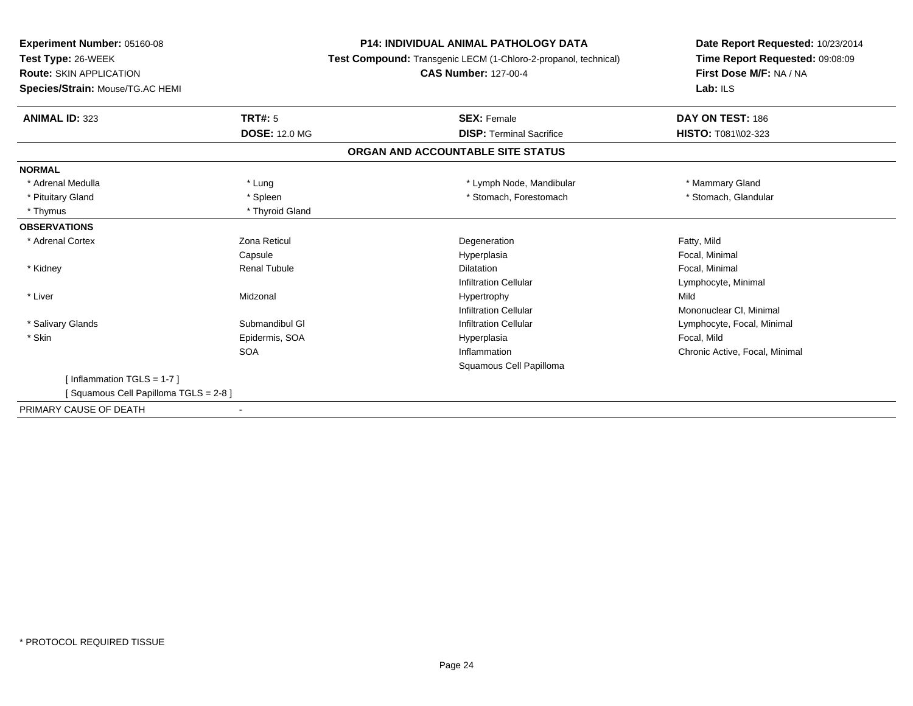**Experiment Number:** 05160-08

**Test Type:** 26-WEEK

**Route:** SKIN APPLICATION

**Species/Strain:** Mouse/TG.AC HEMI

**P14: INDIVIDUAL ANIMAL PATHOLOGY DATA**

**Test Compound:** Transgenic LECM (1-Chloro-2-propanol, technical)

## **CAS Number:** 127-00-4

**Date Report Requested:** 10/23/2014**Time Report Requested:** 09:08:09**First Dose M/F:** NA / NA**Lab:** ILS

| <b>ANIMAL ID: 323</b>                | TRT#: 5              | <b>SEX: Female</b>                | DAY ON TEST: 186               |
|--------------------------------------|----------------------|-----------------------------------|--------------------------------|
|                                      | <b>DOSE: 12.0 MG</b> | <b>DISP: Terminal Sacrifice</b>   | <b>HISTO: T081\\02-323</b>     |
|                                      |                      | ORGAN AND ACCOUNTABLE SITE STATUS |                                |
| <b>NORMAL</b>                        |                      |                                   |                                |
| * Adrenal Medulla                    | * Lung               | * Lymph Node, Mandibular          | * Mammary Gland                |
| * Pituitary Gland                    | * Spleen             | * Stomach, Forestomach            | * Stomach, Glandular           |
| * Thymus                             | * Thyroid Gland      |                                   |                                |
| <b>OBSERVATIONS</b>                  |                      |                                   |                                |
| * Adrenal Cortex                     | Zona Reticul         | Degeneration                      | Fatty, Mild                    |
|                                      | Capsule              | Hyperplasia                       | Focal, Minimal                 |
| * Kidney                             | <b>Renal Tubule</b>  | <b>Dilatation</b>                 | Focal, Minimal                 |
|                                      |                      | <b>Infiltration Cellular</b>      | Lymphocyte, Minimal            |
| * Liver                              | Midzonal             | Hypertrophy                       | Mild                           |
|                                      |                      | <b>Infiltration Cellular</b>      | Mononuclear CI, Minimal        |
| * Salivary Glands                    | Submandibul GI       | <b>Infiltration Cellular</b>      | Lymphocyte, Focal, Minimal     |
| * Skin                               | Epidermis, SOA       | Hyperplasia                       | Focal, Mild                    |
|                                      | <b>SOA</b>           | Inflammation                      | Chronic Active, Focal, Minimal |
|                                      |                      | Squamous Cell Papilloma           |                                |
| [Inflammation TGLS = $1-7$ ]         |                      |                                   |                                |
| [Squamous Cell Papilloma TGLS = 2-8] |                      |                                   |                                |
| PRIMARY CAUSE OF DEATH               |                      |                                   |                                |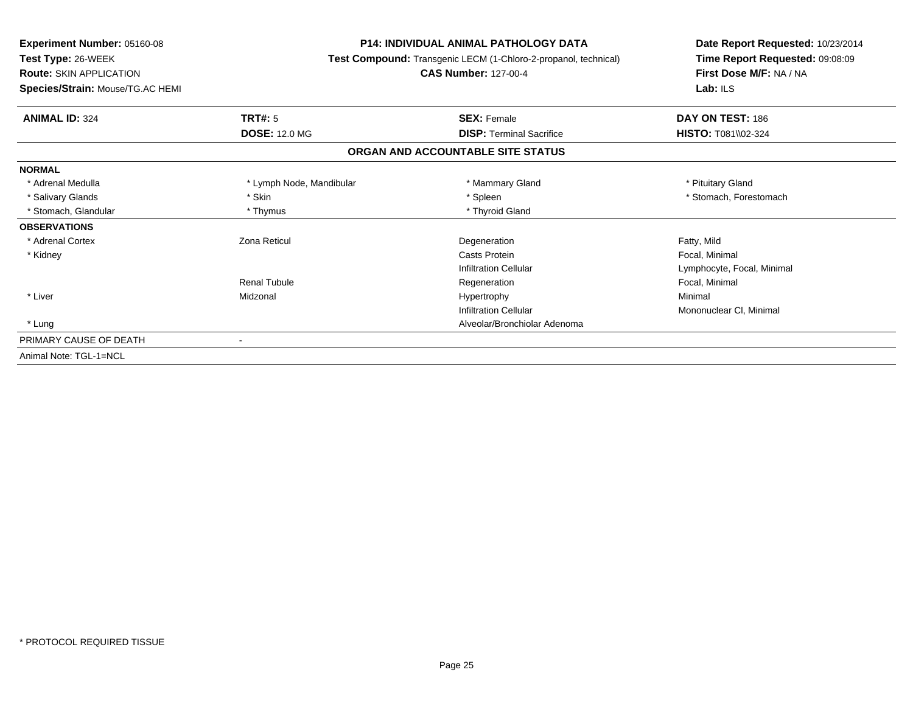| Experiment Number: 05160-08      |                                                                                                | <b>P14: INDIVIDUAL ANIMAL PATHOLOGY DATA</b> |                                                            |
|----------------------------------|------------------------------------------------------------------------------------------------|----------------------------------------------|------------------------------------------------------------|
| Test Type: 26-WEEK               | Test Compound: Transgenic LECM (1-Chloro-2-propanol, technical)<br><b>CAS Number: 127-00-4</b> |                                              | Time Report Requested: 09:08:09<br>First Dose M/F: NA / NA |
| <b>Route: SKIN APPLICATION</b>   |                                                                                                |                                              |                                                            |
| Species/Strain: Mouse/TG.AC HEMI |                                                                                                |                                              | Lab: $ILS$                                                 |
| <b>ANIMAL ID: 324</b>            | <b>TRT#: 5</b>                                                                                 | <b>SEX: Female</b>                           | DAY ON TEST: 186                                           |
|                                  | <b>DOSE: 12.0 MG</b>                                                                           | <b>DISP: Terminal Sacrifice</b>              | <b>HISTO: T081\\02-324</b>                                 |
|                                  |                                                                                                | ORGAN AND ACCOUNTABLE SITE STATUS            |                                                            |
| <b>NORMAL</b>                    |                                                                                                |                                              |                                                            |
| * Adrenal Medulla                | * Lymph Node, Mandibular                                                                       | * Mammary Gland                              | * Pituitary Gland                                          |
| * Salivary Glands                | * Skin                                                                                         | * Spleen                                     | * Stomach, Forestomach                                     |
| * Stomach, Glandular             | * Thymus                                                                                       | * Thyroid Gland                              |                                                            |
| <b>OBSERVATIONS</b>              |                                                                                                |                                              |                                                            |
| * Adrenal Cortex                 | Zona Reticul                                                                                   | Degeneration                                 | Fatty, Mild                                                |
| * Kidney                         |                                                                                                | Casts Protein                                | Focal, Minimal                                             |
|                                  |                                                                                                | <b>Infiltration Cellular</b>                 | Lymphocyte, Focal, Minimal                                 |
|                                  | <b>Renal Tubule</b>                                                                            | Regeneration                                 | Focal, Minimal                                             |
| * Liver                          | Midzonal                                                                                       | Hypertrophy                                  | Minimal                                                    |
|                                  |                                                                                                | <b>Infiltration Cellular</b>                 | Mononuclear CI, Minimal                                    |
| * Lung                           |                                                                                                | Alveolar/Bronchiolar Adenoma                 |                                                            |
| PRIMARY CAUSE OF DEATH           |                                                                                                |                                              |                                                            |
| Animal Note: TGL-1=NCL           |                                                                                                |                                              |                                                            |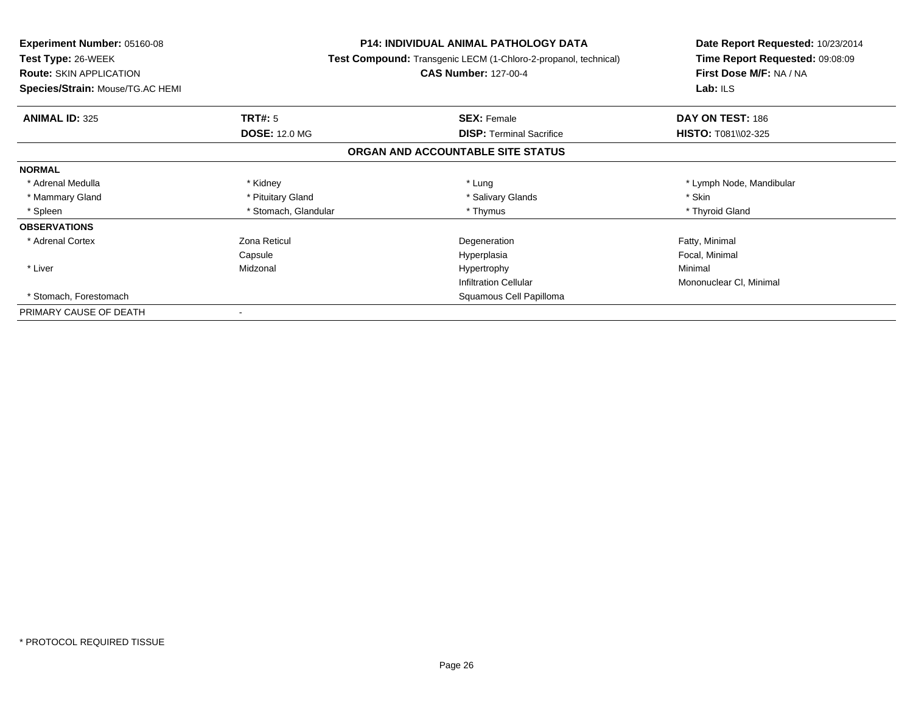| Experiment Number: 05160-08      | <b>P14: INDIVIDUAL ANIMAL PATHOLOGY DATA</b><br>Test Compound: Transgenic LECM (1-Chloro-2-propanol, technical)<br><b>CAS Number: 127-00-4</b> |                                   | Date Report Requested: 10/23/2014<br>Time Report Requested: 09:08:09<br>First Dose M/F: NA / NA |
|----------------------------------|------------------------------------------------------------------------------------------------------------------------------------------------|-----------------------------------|-------------------------------------------------------------------------------------------------|
| <b>Test Type: 26-WEEK</b>        |                                                                                                                                                |                                   |                                                                                                 |
| <b>Route: SKIN APPLICATION</b>   |                                                                                                                                                |                                   |                                                                                                 |
| Species/Strain: Mouse/TG.AC HEMI |                                                                                                                                                |                                   | Lab: ILS                                                                                        |
| <b>ANIMAL ID: 325</b>            | <b>TRT#: 5</b>                                                                                                                                 | <b>SEX: Female</b>                | DAY ON TEST: 186                                                                                |
|                                  | <b>DOSE: 12.0 MG</b>                                                                                                                           | <b>DISP: Terminal Sacrifice</b>   | <b>HISTO: T081\\02-325</b>                                                                      |
|                                  |                                                                                                                                                | ORGAN AND ACCOUNTABLE SITE STATUS |                                                                                                 |
| <b>NORMAL</b>                    |                                                                                                                                                |                                   |                                                                                                 |
| * Adrenal Medulla                | * Kidney                                                                                                                                       | * Lung                            | * Lymph Node, Mandibular                                                                        |
| * Mammary Gland                  | * Pituitary Gland                                                                                                                              | * Salivary Glands                 | * Skin                                                                                          |
| * Spleen                         | * Stomach, Glandular                                                                                                                           | * Thymus                          | * Thyroid Gland                                                                                 |
| <b>OBSERVATIONS</b>              |                                                                                                                                                |                                   |                                                                                                 |
| * Adrenal Cortex                 | Zona Reticul                                                                                                                                   | Degeneration                      | Fatty, Minimal                                                                                  |
|                                  | Capsule                                                                                                                                        | Hyperplasia                       | Focal, Minimal                                                                                  |
| * Liver                          | Midzonal                                                                                                                                       | Hypertrophy                       | Minimal                                                                                         |
|                                  |                                                                                                                                                | <b>Infiltration Cellular</b>      | Mononuclear CI, Minimal                                                                         |
| * Stomach, Forestomach           |                                                                                                                                                | Squamous Cell Papilloma           |                                                                                                 |
| PRIMARY CAUSE OF DEATH           |                                                                                                                                                |                                   |                                                                                                 |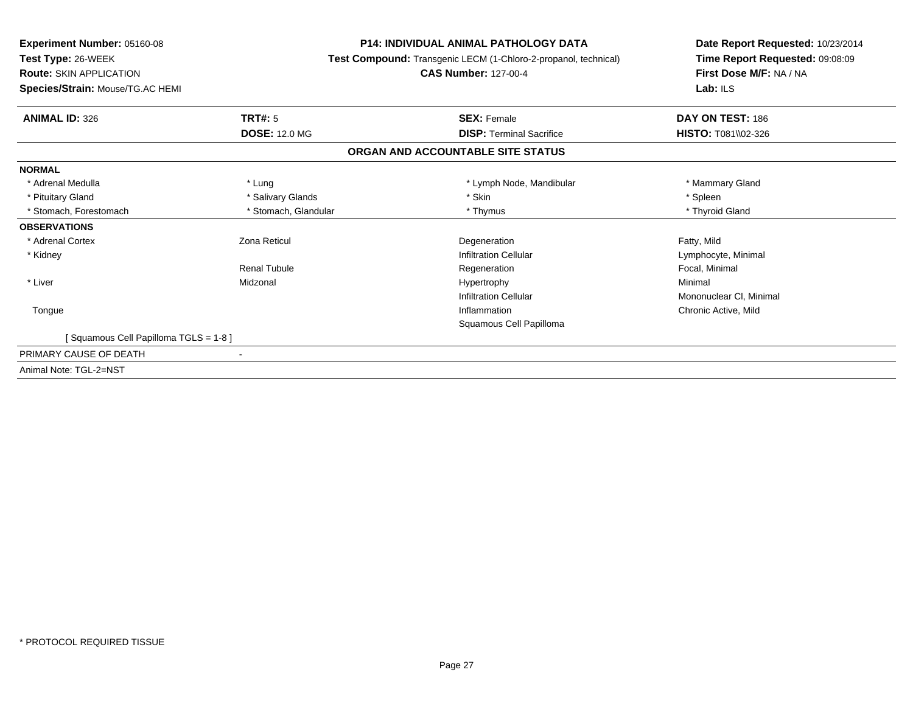**Experiment Number:** 05160-08**Test Type:** 26-WEEK **Route:** SKIN APPLICATION **Species/Strain:** Mouse/TG.AC HEMI**P14: INDIVIDUAL ANIMAL PATHOLOGY DATA Test Compound:** Transgenic LECM (1-Chloro-2-propanol, technical)**CAS Number:** 127-00-4**Date Report Requested:** 10/23/2014**Time Report Requested:** 09:08:09**First Dose M/F:** NA / NA**Lab:** ILS**ANIMAL ID:** 326**6 DAY ON TEST:** 186 **DOSE:** 12.0 MG**DISP:** Terminal Sacrifice **HISTO:**  $T081\sqrt{02-326}$ **ORGAN AND ACCOUNTABLE SITE STATUSNORMAL**\* Adrenal Medulla \* Lung \* Lymph Node, Mandibular \* Mammary Gland \* Pituitary Gland \* \* \* Sheen \* Salivary Glands \* \* State \* \* Skin \* \* Skin \* \* Spleen \* \* Spleen \* \* Spleen \* \* Thyroid Gland \* Stomach, Forestomach \* Thymus \* Stomach, Glandular \* Thymus \* Thymus \* Thymus \* Thymus \* Thymus \* Thymus \* Thymus \* Thymus \* Thymus \* Thymus \* Thymus \* Thymus \* Thymus \* Thymus \* Thymus \* Thymus \* Thymus \* Thymus \* Thymu **OBSERVATIONS** \* Adrenal Cortexx **Executive State 2** Zona Reticul **Constants Constants Constants Constants Constants Degeneration** Degeneration and the control of the Fatty, Mild<br>
Fatty, Mild<br>
Lymphocyte, Minimal \* Kidneyy the contract of the contract of the contract of the contract of the contract of the contract of the contract of  $\mathsf{Lymphocyte}$ , Minimal Renal Tubule Regeneration Focal, Minimal \* LiverMidzonal Hypertrophy y the contract of the Minimal Minimal Section 1996 and the contract of the Minimal Section 1997 and the contract of the contract of the contract of the contract of the contract of the contract of the contract of the contra Infiltration Cellular Mononuclear Cl, Minimal Tonguee and the contractive of the contraction of the contraction of the contraction of the chronic Active, Mild and  $\alpha$ Squamous Cell Papilloma[ Squamous Cell Papilloma TGLS = 1-8 ]PRIMARY CAUSE OF DEATH - Animal Note: TGL-2=NST